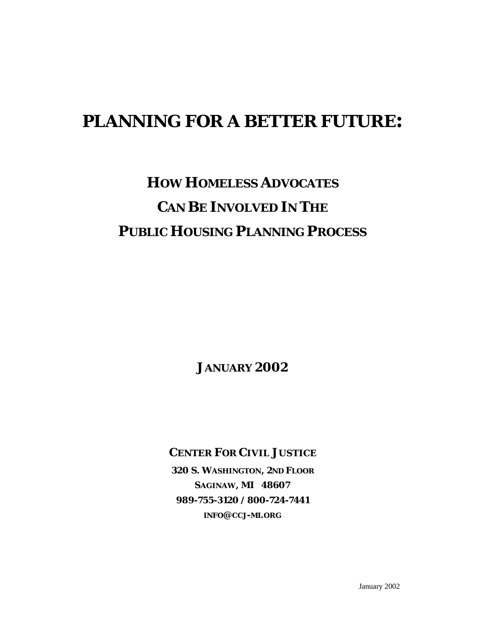# **PLANNING FOR A BETTER FUTURE:**

# **HOW HOMELESS ADVOCATES CAN BE INVOLVED IN THE PUBLIC HOUSING PLANNING PROCESS**

**JANUARY 2002**

**CENTER FOR CIVIL JUSTICE**

**320 S. WASHINGTON, 2ND FLOOR SAGINAW, MI 48607 989-755-3120 / 800-724-7441 INFO@CCJ-MI.ORG**

January 2002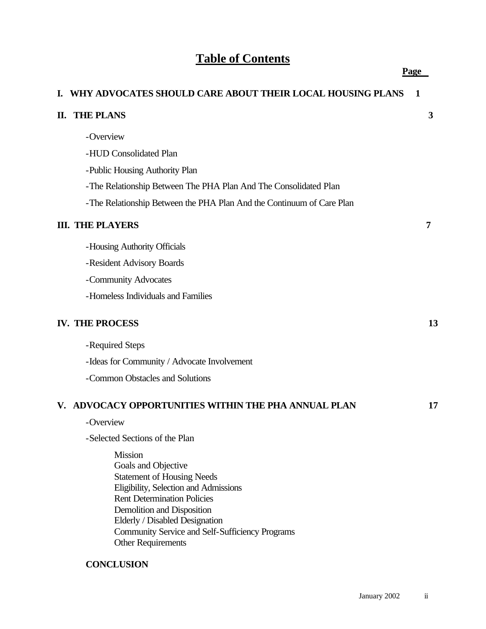# **Table of Contents**

|    | I. WHY ADVOCATES SHOULD CARE ABOUT THEIR LOCAL HOUSING PLANS                                                                                                                                                                                                                                              | 1  |
|----|-----------------------------------------------------------------------------------------------------------------------------------------------------------------------------------------------------------------------------------------------------------------------------------------------------------|----|
| П. | <b>THE PLANS</b>                                                                                                                                                                                                                                                                                          | 3  |
|    | -Overview                                                                                                                                                                                                                                                                                                 |    |
|    | -HUD Consolidated Plan                                                                                                                                                                                                                                                                                    |    |
|    | -Public Housing Authority Plan                                                                                                                                                                                                                                                                            |    |
|    | -The Relationship Between The PHA Plan And The Consolidated Plan                                                                                                                                                                                                                                          |    |
|    | -The Relationship Between the PHA Plan And the Continuum of Care Plan                                                                                                                                                                                                                                     |    |
|    | <b>III. THE PLAYERS</b>                                                                                                                                                                                                                                                                                   | 7  |
|    | -Housing Authority Officials                                                                                                                                                                                                                                                                              |    |
|    | -Resident Advisory Boards                                                                                                                                                                                                                                                                                 |    |
|    | -Community Advocates                                                                                                                                                                                                                                                                                      |    |
|    | -Homeless Individuals and Families                                                                                                                                                                                                                                                                        |    |
|    | <b>IV. THE PROCESS</b>                                                                                                                                                                                                                                                                                    | 13 |
|    | -Required Steps                                                                                                                                                                                                                                                                                           |    |
|    | -Ideas for Community / Advocate Involvement                                                                                                                                                                                                                                                               |    |
|    | -Common Obstacles and Solutions                                                                                                                                                                                                                                                                           |    |
|    | V. ADVOCACY OPPORTUNITIES WITHIN THE PHA ANNUAL PLAN                                                                                                                                                                                                                                                      | 17 |
|    | -Overview                                                                                                                                                                                                                                                                                                 |    |
|    | -Selected Sections of the Plan                                                                                                                                                                                                                                                                            |    |
|    | <b>Mission</b><br>Goals and Objective<br><b>Statement of Housing Needs</b><br>Eligibility, Selection and Admissions<br><b>Rent Determination Policies</b><br>Demolition and Disposition<br>Elderly / Disabled Designation<br>Community Service and Self-Sufficiency Programs<br><b>Other Requirements</b> |    |
|    | <b>CONCLUSION</b>                                                                                                                                                                                                                                                                                         |    |

**Page**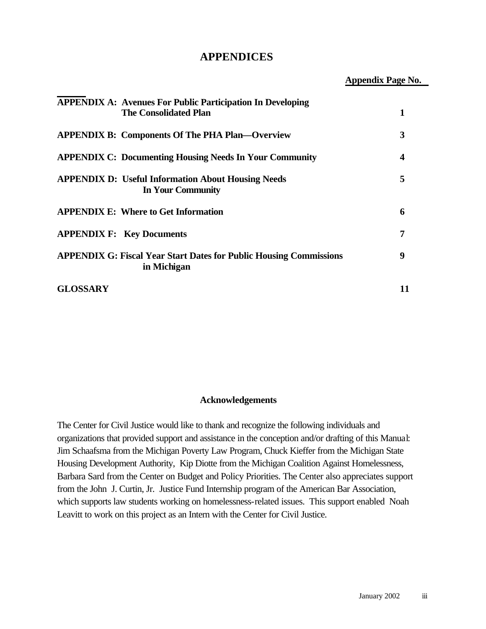### **APPENDICES**

**Appendix Page No.**

|                 | <b>APPENDIX A: Avenues For Public Participation In Developing</b><br><b>The Consolidated Plan</b> |    |
|-----------------|---------------------------------------------------------------------------------------------------|----|
|                 | <b>APPENDIX B: Components Of The PHA Plan—Overview</b>                                            | 3  |
|                 | <b>APPENDIX C: Documenting Housing Needs In Your Community</b>                                    | 4  |
|                 | <b>APPENDIX D: Useful Information About Housing Needs</b><br>In Your Community                    | 5  |
|                 | <b>APPENDIX E: Where to Get Information</b>                                                       | 6  |
|                 | <b>APPENDIX F: Key Documents</b>                                                                  | 7  |
|                 | <b>APPENDIX G: Fiscal Year Start Dates for Public Housing Commissions</b><br>in Michigan          | 9  |
| <b>GLOSSARY</b> |                                                                                                   | 11 |

#### **Acknowledgements**

The Center for Civil Justice would like to thank and recognize the following individuals and organizations that provided support and assistance in the conception and/or drafting of this Manual: Jim Schaafsma from the Michigan Poverty Law Program, Chuck Kieffer from the Michigan State Housing Development Authority, Kip Diotte from the Michigan Coalition Against Homelessness, Barbara Sard from the Center on Budget and Policy Priorities. The Center also appreciates support from the John J. Curtin, Jr. Justice Fund Internship program of the American Bar Association, which supports law students working on homelessness-related issues. This support enabled Noah Leavitt to work on this project as an Intern with the Center for Civil Justice.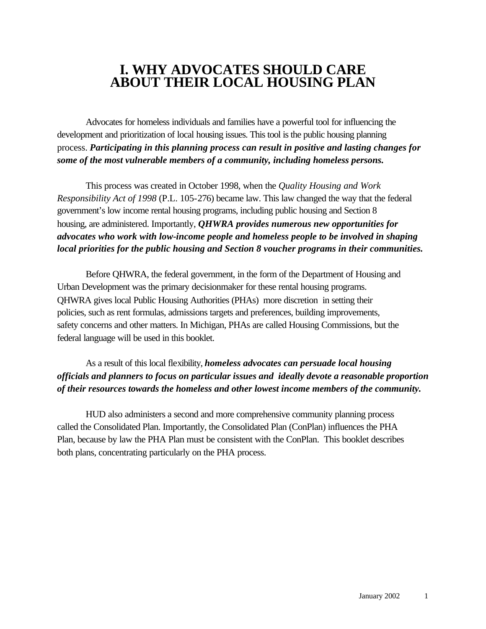# **I. WHY ADVOCATES SHOULD CARE ABOUT THEIR LOCAL HOUSING PLAN**

Advocates for homeless individuals and families have a powerful tool for influencing the development and prioritization of local housing issues. This tool is the public housing planning process. *Participating in this planning process can result in positive and lasting changes for some of the most vulnerable members of a community, including homeless persons.*

This process was created in October 1998, when the *Quality Housing and Work Responsibility Act of 1998* (P.L. 105-276) became law. This law changed the way that the federal government's low income rental housing programs, including public housing and Section 8 housing, are administered. Importantly, *QHWRA provides numerous new opportunities for advocates who work with low-income people and homeless people to be involved in shaping local priorities for the public housing and Section 8 voucher programs in their communities.*

Before QHWRA, the federal government, in the form of the Department of Housing and Urban Development was the primary decisionmaker for these rental housing programs. QHWRA gives local Public Housing Authorities (PHAs) more discretion in setting their policies, such as rent formulas, admissions targets and preferences, building improvements, safety concerns and other matters. In Michigan, PHAs are called Housing Commissions, but the federal language will be used in this booklet.

As a result of this local flexibility, *homeless advocates can persuade local housing officials and planners to focus on particular issues and ideally devote a reasonable proportion of their resources towards the homeless and other lowest income members of the community.*

HUD also administers a second and more comprehensive community planning process called the Consolidated Plan. Importantly, the Consolidated Plan (ConPlan) influences the PHA Plan, because by law the PHA Plan must be consistent with the ConPlan. This booklet describes both plans, concentrating particularly on the PHA process.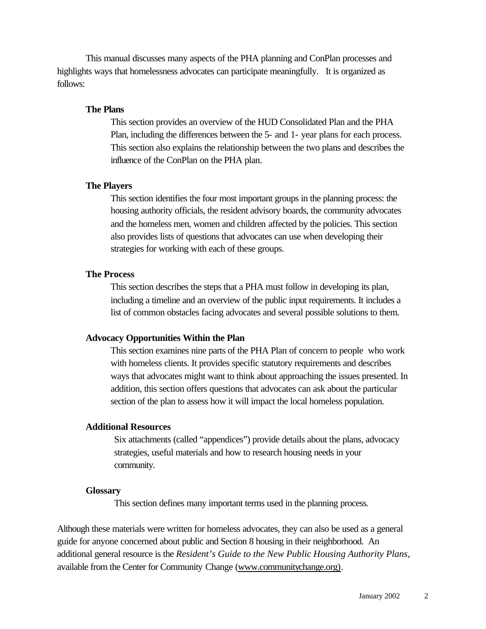This manual discusses many aspects of the PHA planning and ConPlan processes and highlights ways that homelessness advocates can participate meaningfully. It is organized as follows:

#### **The Plans**

This section provides an overview of the HUD Consolidated Plan and the PHA Plan, including the differences between the 5- and 1- year plans for each process. This section also explains the relationship between the two plans and describes the influence of the ConPlan on the PHA plan.

#### **The Players**

This section identifies the four most important groups in the planning process: the housing authority officials, the resident advisory boards, the community advocates and the homeless men, women and children affected by the policies. This section also provides lists of questions that advocates can use when developing their strategies for working with each of these groups.

#### **The Process**

This section describes the steps that a PHA must follow in developing its plan, including a timeline and an overview of the public input requirements. It includes a list of common obstacles facing advocates and several possible solutions to them.

#### **Advocacy Opportunities Within the Plan**

This section examines nine parts of the PHA Plan of concern to people who work with homeless clients. It provides specific statutory requirements and describes ways that advocates might want to think about approaching the issues presented. In addition, this section offers questions that advocates can ask about the particular section of the plan to assess how it will impact the local homeless population.

#### **Additional Resources**

Six attachments (called "appendices") provide details about the plans, advocacy strategies, useful materials and how to research housing needs in your community.

#### **Glossary**

This section defines many important terms used in the planning process.

Although these materials were written for homeless advocates, they can also be used as a general guide for anyone concerned about public and Section 8 housing in their neighborhood. An additional general resource is the *Resident's Guide to the New Public Housing Authority Plans*, available from the Center for Community Change (www.communitychange.org).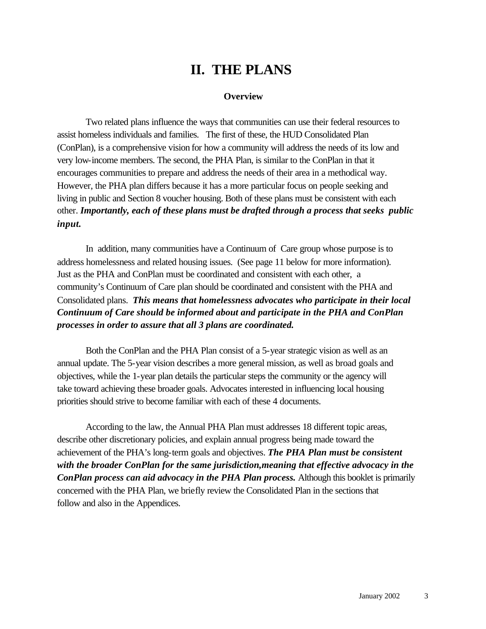# **II. THE PLANS**

#### **Overview**

Two related plans influence the ways that communities can use their federal resources to assist homeless individuals and families. The first of these, the HUD Consolidated Plan (ConPlan), is a comprehensive vision for how a community will address the needs of its low and very low-income members. The second, the PHA Plan, is similar to the ConPlan in that it encourages communities to prepare and address the needs of their area in a methodical way. However, the PHA plan differs because it has a more particular focus on people seeking and living in public and Section 8 voucher housing. Both of these plans must be consistent with each other. *Importantly, each of these plans must be drafted through a process that seeks public input.*

In addition, many communities have a Continuum of Care group whose purpose is to address homelessness and related housing issues. (See page 11 below for more information). Just as the PHA and ConPlan must be coordinated and consistent with each other, a community's Continuum of Care plan should be coordinated and consistent with the PHA and Consolidated plans. *This means that homelessness advocates who participate in their local Continuum of Care should be informed about and participate in the PHA and ConPlan processes in order to assure that all 3 plans are coordinated.* 

Both the ConPlan and the PHA Plan consist of a 5-year strategic vision as well as an annual update. The 5-year vision describes a more general mission, as well as broad goals and objectives, while the 1-year plan details the particular steps the community or the agency will take toward achieving these broader goals. Advocates interested in influencing local housing priorities should strive to become familiar with each of these 4 documents.

According to the law, the Annual PHA Plan must addresses 18 different topic areas, describe other discretionary policies, and explain annual progress being made toward the achievement of the PHA's long-term goals and objectives. *The PHA Plan must be consistent with the broader ConPlan for the same jurisdiction,meaning that effective advocacy in the ConPlan process can aid advocacy in the PHA Plan process.* Although this booklet is primarily concerned with the PHA Plan, we briefly review the Consolidated Plan in the sections that follow and also in the Appendices.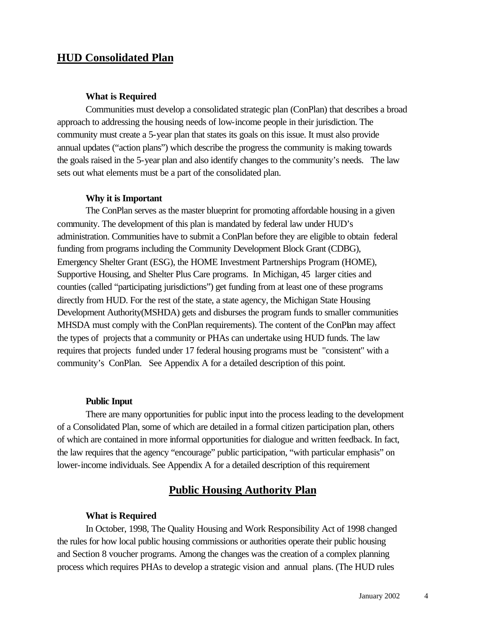# **HUD Consolidated Plan**

#### **What is Required**

Communities must develop a consolidated strategic plan (ConPlan) that describes a broad approach to addressing the housing needs of low-income people in their jurisdiction. The community must create a 5-year plan that states its goals on this issue. It must also provide annual updates ("action plans") which describe the progress the community is making towards the goals raised in the 5-year plan and also identify changes to the community's needs. The law sets out what elements must be a part of the consolidated plan.

#### **Why it is Important**

The ConPlan serves as the master blueprint for promoting affordable housing in a given community. The development of this plan is mandated by federal law under HUD's administration. Communities have to submit a ConPlan before they are eligible to obtain federal funding from programs including the Community Development Block Grant (CDBG), Emergency Shelter Grant (ESG), the HOME Investment Partnerships Program (HOME), Supportive Housing, and Shelter Plus Care programs. In Michigan, 45 larger cities and counties (called "participating jurisdictions") get funding from at least one of these programs directly from HUD. For the rest of the state, a state agency, the Michigan State Housing Development Authority(MSHDA) gets and disburses the program funds to smaller communities MHSDA must comply with the ConPlan requirements). The content of the ConPlan may affect the types of projects that a community or PHAs can undertake using HUD funds. The law requires that projects funded under 17 federal housing programs must be "consistent" with a community's ConPlan. See Appendix A for a detailed description of this point.

#### **Public Input**

There are many opportunities for public input into the process leading to the development of a Consolidated Plan, some of which are detailed in a formal citizen participation plan, others of which are contained in more informal opportunities for dialogue and written feedback. In fact, the law requires that the agency "encourage" public participation, "with particular emphasis" on lower-income individuals. See Appendix A for a detailed description of this requirement

# **Public Housing Authority Plan**

#### **What is Required**

In October, 1998, The Quality Housing and Work Responsibility Act of 1998 changed the rules for how local public housing commissions or authorities operate their public housing and Section 8 voucher programs. Among the changes was the creation of a complex planning process which requires PHAs to develop a strategic vision and annual plans. (The HUD rules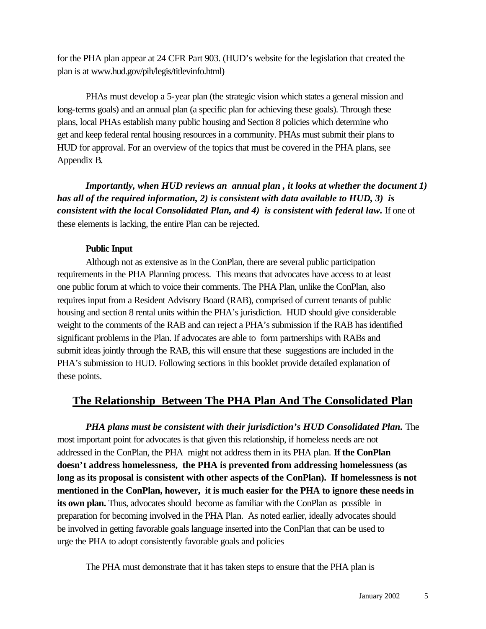for the PHA plan appear at 24 CFR Part 903. (HUD's website for the legislation that created the plan is at www.hud.gov/pih/legis/titlevinfo.html)

PHAs must develop a 5-year plan (the strategic vision which states a general mission and long-terms goals) and an annual plan (a specific plan for achieving these goals). Through these plans, local PHAs establish many public housing and Section 8 policies which determine who get and keep federal rental housing resources in a community. PHAs must submit their plans to HUD for approval. For an overview of the topics that must be covered in the PHA plans, see Appendix B.

*Importantly, when HUD reviews an annual plan, it looks at whether the document 1) has all of the required information, 2) is consistent with data available to HUD, 3) is consistent with the local Consolidated Plan, and 4) is consistent with federal law.* If one of these elements is lacking, the entire Plan can be rejected.

#### **Public Input**

Although not as extensive as in the ConPlan, there are several public participation requirements in the PHA Planning process. This means that advocates have access to at least one public forum at which to voice their comments. The PHA Plan, unlike the ConPlan, also requires input from a Resident Advisory Board (RAB), comprised of current tenants of public housing and section 8 rental units within the PHA's jurisdiction. HUD should give considerable weight to the comments of the RAB and can reject a PHA's submission if the RAB has identified significant problems in the Plan. If advocates are able to form partnerships with RABs and submit ideas jointly through the RAB, this will ensure that these suggestions are included in the PHA's submission to HUD. Following sections in this booklet provide detailed explanation of these points.

## **The Relationship Between The PHA Plan And The Consolidated Plan**

*PHA plans must be consistent with their jurisdiction's HUD Consolidated Plan.* The most important point for advocates is that given this relationship, if homeless needs are not addressed in the ConPlan, the PHA might not address them in its PHA plan. **If the ConPlan doesn't address homelessness, the PHA is prevented from addressing homelessness (as long as its proposal is consistent with other aspects of the ConPlan). If homelessness is not mentioned in the ConPlan, however, it is much easier for the PHA to ignore these needs in its own plan.** Thus, advocates should become as familiar with the ConPlan as possible in preparation for becoming involved in the PHA Plan. As noted earlier, ideally advocates should be involved in getting favorable goals language inserted into the ConPlan that can be used to urge the PHA to adopt consistently favorable goals and policies

The PHA must demonstrate that it has taken steps to ensure that the PHA plan is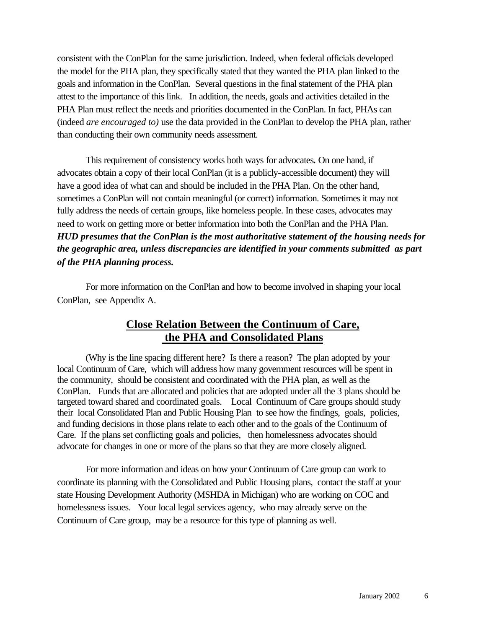consistent with the ConPlan for the same jurisdiction. Indeed, when federal officials developed the model for the PHA plan, they specifically stated that they wanted the PHA plan linked to the goals and information in the ConPlan. Several questions in the final statement of the PHA plan attest to the importance of this link. In addition, the needs, goals and activities detailed in the PHA Plan must reflect the needs and priorities documented in the ConPlan. In fact, PHAs can (indeed *are encouraged to)* use the data provided in the ConPlan to develop the PHA plan, rather than conducting their own community needs assessment.

This requirement of consistency works both ways for advocates*.* On one hand, if advocates obtain a copy of their local ConPlan (it is a publicly-accessible document) they will have a good idea of what can and should be included in the PHA Plan. On the other hand, sometimes a ConPlan will not contain meaningful (or correct) information. Sometimes it may not fully address the needs of certain groups, like homeless people. In these cases, advocates may need to work on getting more or better information into both the ConPlan and the PHA Plan. *HUD presumes that the ConPlan is the most authoritative statement of the housing needs for the geographic area, unless discrepancies are identified in your comments submitted as part of the PHA planning process.*

For more information on the ConPlan and how to become involved in shaping your local ConPlan, see Appendix A.

# **Close Relation Between the Continuum of Care, the PHA and Consolidated Plans**

(Why is the line spacing different here? Is there a reason? The plan adopted by your local Continuum of Care, which will address how many government resources will be spent in the community, should be consistent and coordinated with the PHA plan, as well as the ConPlan. Funds that are allocated and policies that are adopted under all the 3 plans should be targeted toward shared and coordinated goals. Local Continuum of Care groups should study their local Consolidated Plan and Public Housing Plan to see how the findings, goals, policies, and funding decisions in those plans relate to each other and to the goals of the Continuum of Care. If the plans set conflicting goals and policies, then homelessness advocates should advocate for changes in one or more of the plans so that they are more closely aligned.

For more information and ideas on how your Continuum of Care group can work to coordinate its planning with the Consolidated and Public Housing plans, contact the staff at your state Housing Development Authority (MSHDA in Michigan) who are working on COC and homelessness issues. Your local legal services agency, who may already serve on the Continuum of Care group, may be a resource for this type of planning as well.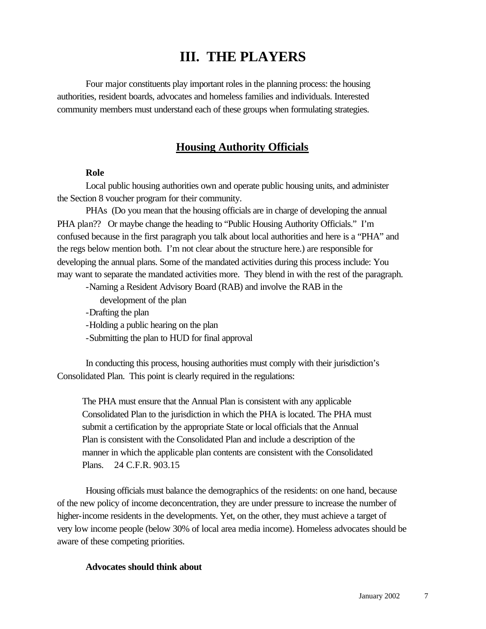# **III. THE PLAYERS**

Four major constituents play important roles in the planning process: the housing authorities, resident boards, advocates and homeless families and individuals. Interested community members must understand each of these groups when formulating strategies.

### **Housing Authority Officials**

#### **Role**

Local public housing authorities own and operate public housing units, and administer the Section 8 voucher program for their community.

PHAs (Do you mean that the housing officials are in charge of developing the annual PHA plan?? Or maybe change the heading to "Public Housing Authority Officials." I'm confused because in the first paragraph you talk about local authorities and here is a "PHA" and the regs below mention both. I'm not clear about the structure here.) are responsible for developing the annual plans. Some of the mandated activities during this process include: You may want to separate the mandated activities more. They blend in with the rest of the paragraph.

-Naming a Resident Advisory Board (RAB) and involve the RAB in the

development of the plan

-Drafting the plan

-Holding a public hearing on the plan

-Submitting the plan to HUD for final approval

In conducting this process, housing authorities must comply with their jurisdiction's Consolidated Plan. This point is clearly required in the regulations:

The PHA must ensure that the Annual Plan is consistent with any applicable Consolidated Plan to the jurisdiction in which the PHA is located. The PHA must submit a certification by the appropriate State or local officials that the Annual Plan is consistent with the Consolidated Plan and include a description of the manner in which the applicable plan contents are consistent with the Consolidated Plans. 24 C.F.R. 903.15

Housing officials must balance the demographics of the residents: on one hand, because of the new policy of income deconcentration, they are under pressure to increase the number of higher-income residents in the developments. Yet, on the other, they must achieve a target of very low income people (below 30% of local area media income). Homeless advocates should be aware of these competing priorities.

#### **Advocates should think about**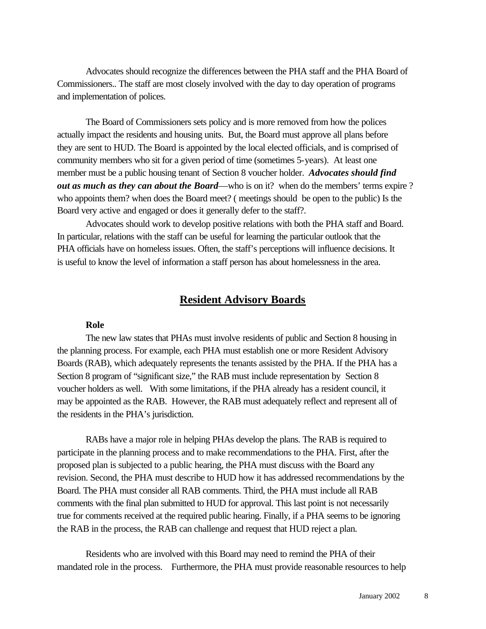Advocates should recognize the differences between the PHA staff and the PHA Board of Commissioners.. The staff are most closely involved with the day to day operation of programs and implementation of polices.

The Board of Commissioners sets policy and is more removed from how the polices actually impact the residents and housing units. But, the Board must approve all plans before they are sent to HUD. The Board is appointed by the local elected officials, and is comprised of community members who sit for a given period of time (sometimes 5-years). At least one member must be a public housing tenant of Section 8 voucher holder. *Advocates should find out as much as they can about the Board*—who is on it? when do the members' terms expire ? who appoints them? when does the Board meet? ( meetings should be open to the public) Is the Board very active and engaged or does it generally defer to the staff?.

Advocates should work to develop positive relations with both the PHA staff and Board. In particular, relations with the staff can be useful for learning the particular outlook that the PHA officials have on homeless issues. Often, the staff's perceptions will influence decisions. It is useful to know the level of information a staff person has about homelessness in the area.

# **Resident Advisory Boards**

#### **Role**

The new law states that PHAs must involve residents of public and Section 8 housing in the planning process. For example, each PHA must establish one or more Resident Advisory Boards (RAB), which adequately represents the tenants assisted by the PHA. If the PHA has a Section 8 program of "significant size," the RAB must include representation by Section 8 voucher holders as well. With some limitations, if the PHA already has a resident council, it may be appointed as the RAB. However, the RAB must adequately reflect and represent all of the residents in the PHA's jurisdiction.

RABs have a major role in helping PHAs develop the plans. The RAB is required to participate in the planning process and to make recommendations to the PHA. First, after the proposed plan is subjected to a public hearing, the PHA must discuss with the Board any revision. Second, the PHA must describe to HUD how it has addressed recommendations by the Board. The PHA must consider all RAB comments. Third, the PHA must include all RAB comments with the final plan submitted to HUD for approval. This last point is not necessarily true for comments received at the required public hearing. Finally, if a PHA seems to be ignoring the RAB in the process, the RAB can challenge and request that HUD reject a plan.

Residents who are involved with this Board may need to remind the PHA of their mandated role in the process. Furthermore, the PHA must provide reasonable resources to help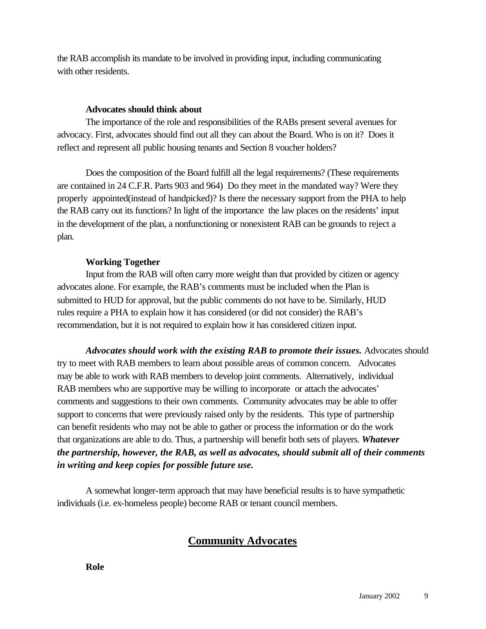the RAB accomplish its mandate to be involved in providing input, including communicating with other residents.

#### **Advocates should think about**

The importance of the role and responsibilities of the RABs present several avenues for advocacy. First, advocates should find out all they can about the Board. Who is on it? Does it reflect and represent all public housing tenants and Section 8 voucher holders?

Does the composition of the Board fulfill all the legal requirements? (These requirements are contained in 24 C.F.R. Parts 903 and 964) Do they meet in the mandated way? Were they properly appointed(instead of handpicked)? Is there the necessary support from the PHA to help the RAB carry out its functions? In light of the importance the law places on the residents' input in the development of the plan, a nonfunctioning or nonexistent RAB can be grounds to reject a plan.

### **Working Together**

Input from the RAB will often carry more weight than that provided by citizen or agency advocates alone. For example, the RAB's comments must be included when the Plan is submitted to HUD for approval, but the public comments do not have to be. Similarly, HUD rules require a PHA to explain how it has considered (or did not consider) the RAB's recommendation, but it is not required to explain how it has considered citizen input.

Advocates should work with the existing RAB to promote their issues. Advocates should try to meet with RAB members to learn about possible areas of common concern. Advocates may be able to work with RAB members to develop joint comments. Alternatively, individual RAB members who are supportive may be willing to incorporate or attach the advocates' comments and suggestions to their own comments. Community advocates may be able to offer support to concerns that were previously raised only by the residents. This type of partnership can benefit residents who may not be able to gather or process the information or do the work that organizations are able to do. Thus, a partnership will benefit both sets of players. *Whatever the partnership, however, the RAB, as well as advocates, should submit all of their comments in writing and keep copies for possible future use.*

A somewhat longer-term approach that may have beneficial results is to have sympathetic individuals (i.e. ex-homeless people) become RAB or tenant council members.

# **Community Advocates**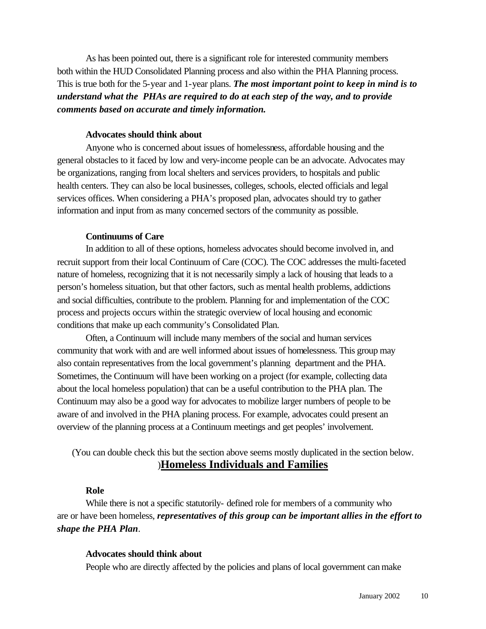As has been pointed out, there is a significant role for interested community members both within the HUD Consolidated Planning process and also within the PHA Planning process. This is true both for the 5-year and 1-year plans. *The most important point to keep in mind is to understand what the PHAs are required to do at each step of the way, and to provide comments based on accurate and timely information.*

#### **Advocates should think about**

Anyone who is concerned about issues of homelessness, affordable housing and the general obstacles to it faced by low and very-income people can be an advocate. Advocates may be organizations, ranging from local shelters and services providers, to hospitals and public health centers. They can also be local businesses, colleges, schools, elected officials and legal services offices. When considering a PHA's proposed plan, advocates should try to gather information and input from as many concerned sectors of the community as possible.

#### **Continuums of Care**

In addition to all of these options, homeless advocates should become involved in, and recruit support from their local Continuum of Care (COC). The COC addresses the multi-faceted nature of homeless, recognizing that it is not necessarily simply a lack of housing that leads to a person's homeless situation, but that other factors, such as mental health problems, addictions and social difficulties, contribute to the problem. Planning for and implementation of the COC process and projects occurs within the strategic overview of local housing and economic conditions that make up each community's Consolidated Plan.

Often, a Continuum will include many members of the social and human services community that work with and are well informed about issues of homelessness. This group may also contain representatives from the local government's planning department and the PHA. Sometimes, the Continuum will have been working on a project (for example, collecting data about the local homeless population) that can be a useful contribution to the PHA plan. The Continuum may also be a good way for advocates to mobilize larger numbers of people to be aware of and involved in the PHA planing process. For example, advocates could present an overview of the planning process at a Continuum meetings and get peoples' involvement.

(You can double check this but the section above seems mostly duplicated in the section below. )**Homeless Individuals and Families**

#### **Role**

While there is not a specific statutorily- defined role for members of a community who are or have been homeless, *representatives of this group can be important allies in the effort to shape the PHA Plan*.

#### **Advocates should think about**

People who are directly affected by the policies and plans of local government can make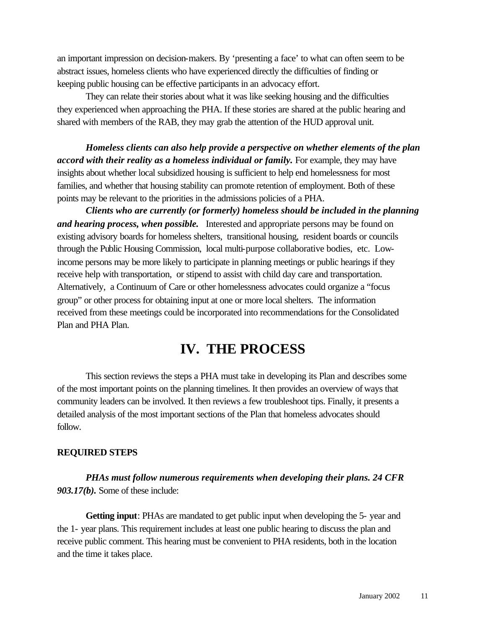an important impression on decision-makers. By 'presenting a face' to what can often seem to be abstract issues, homeless clients who have experienced directly the difficulties of finding or keeping public housing can be effective participants in an advocacy effort.

They can relate their stories about what it was like seeking housing and the difficulties they experienced when approaching the PHA. If these stories are shared at the public hearing and shared with members of the RAB, they may grab the attention of the HUD approval unit.

*Homeless clients can also help provide a perspective on whether elements of the plan accord with their reality as a homeless individual or family.* For example, they may have insights about whether local subsidized housing is sufficient to help end homelessness for most families, and whether that housing stability can promote retention of employment. Both of these points may be relevant to the priorities in the admissions policies of a PHA.

*Clients who are currently (or formerly) homeless should be included in the planning and hearing process, when possible.* Interested and appropriate persons may be found on existing advisory boards for homeless shelters, transitional housing, resident boards or councils through the Public Housing Commission, local multi-purpose collaborative bodies, etc. Lowincome persons may be more likely to participate in planning meetings or public hearings if they receive help with transportation, or stipend to assist with child day care and transportation. Alternatively, a Continuum of Care or other homelessness advocates could organize a "focus group" or other process for obtaining input at one or more local shelters. The information received from these meetings could be incorporated into recommendations for the Consolidated Plan and PHA Plan.

# **IV. THE PROCESS**

This section reviews the steps a PHA must take in developing its Plan and describes some of the most important points on the planning timelines. It then provides an overview of ways that community leaders can be involved. It then reviews a few troubleshoot tips. Finally, it presents a detailed analysis of the most important sections of the Plan that homeless advocates should follow.

#### **REQUIRED STEPS**

*PHAs must follow numerous requirements when developing their plans. 24 CFR 903.17(b).* Some of these include:

**Getting input**: PHAs are mandated to get public input when developing the 5- year and the 1- year plans. This requirement includes at least one public hearing to discuss the plan and receive public comment. This hearing must be convenient to PHA residents, both in the location and the time it takes place.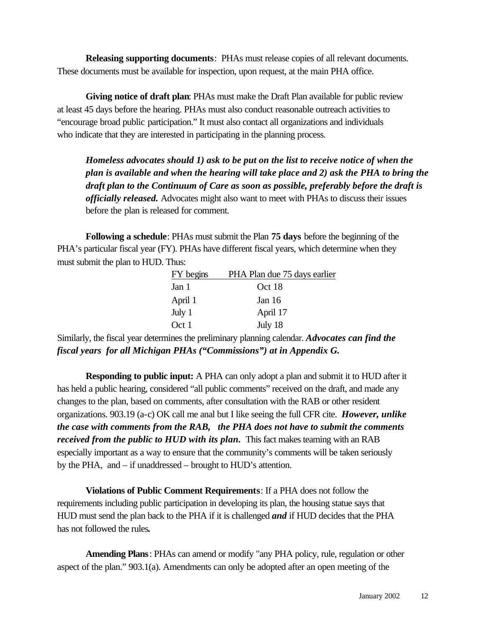**Releasing supporting documents**: PHAs must release copies of all relevant documents. These documents must be available for inspection, upon request, at the main PHA office.

**Giving notice of draft plan**: PHAs must make the Draft Plan available for public review at least 45 days before the hearing. PHAs must also conduct reasonable outreach activities to "encourage broad public participation." It must also contact all organizations and individuals who indicate that they are interested in participating in the planning process.

*Homeless advocates should 1) ask to be put on the list to receive notice of when the plan is available and when the hearing will take place and 2) ask the PHA to bring the draft plan to the Continuum of Care as soon as possible, preferably before the draft is officially released.* Advocates might also want to meet with PHAs to discuss their issues before the plan is released for comment.

**Following a schedule**: PHAs must submit the Plan **75 days** before the beginning of the PHA's particular fiscal year (FY). PHAs have different fiscal years, which determine when they must submit the plan to HUD. Thus:

| FY begins | PHA Plan due 75 days earlier |
|-----------|------------------------------|
| Jan 1     | Oct 18                       |
| April 1   | Jan $16$                     |
| July 1    | April 17                     |
| Oct 1     | July 18                      |

Similarly, the fiscal year determines the preliminary planning calendar. *Advocates can find the fiscal years for all Michigan PHAs ("Commissions") at in Appendix G.* 

**Responding to public input:** A PHA can only adopt a plan and submit it to HUD after it has held a public hearing, considered "all public comments" received on the draft, and made any changes to the plan, based on comments, after consultation with the RAB or other resident organizations. 903.19 (a-c) OK call me anal but I like seeing the full CFR cite. *However, unlike the case with comments from the RAB, the PHA does not have to submit the comments received from the public to HUD with its plan.* This fact makes teaming with an RAB especially important as a way to ensure that the community's comments will be taken seriously by the PHA, and – if unaddressed – brought to HUD's attention.

**Violations of Public Comment Requirements**: If a PHA does not follow the requirements including public participation in developing its plan, the housing statue says that HUD must send the plan back to the PHA if it is challenged *and* if HUD decides that the PHA has not followed the rules*.* 

**Amending Plans**: PHAs can amend or modify "any PHA policy, rule, regulation or other aspect of the plan." 903.1(a). Amendments can only be adopted after an open meeting of the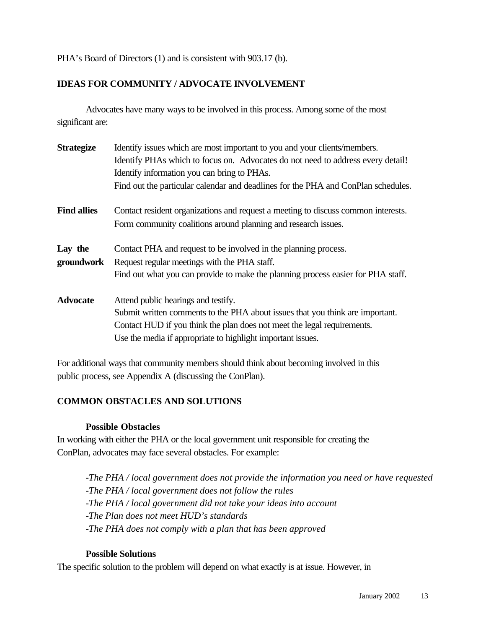PHA's Board of Directors (1) and is consistent with 903.17 (b).

### **IDEAS FOR COMMUNITY / ADVOCATE INVOLVEMENT**

Advocates have many ways to be involved in this process. Among some of the most significant are:

| <b>Strategize</b>     | Identify issues which are most important to you and your clients/members.<br>Identify PHAs which to focus on. Advocates do not need to address every detail!<br>Identify information you can bring to PHAs.<br>Find out the particular calendar and deadlines for the PHA and ConPlan schedules. |
|-----------------------|--------------------------------------------------------------------------------------------------------------------------------------------------------------------------------------------------------------------------------------------------------------------------------------------------|
| <b>Find allies</b>    | Contact resident organizations and request a meeting to discuss common interests.<br>Form community coalitions around planning and research issues.                                                                                                                                              |
| Lay the<br>groundwork | Contact PHA and request to be involved in the planning process.<br>Request regular meetings with the PHA staff.<br>Find out what you can provide to make the planning process easier for PHA staff.                                                                                              |
| <b>Advocate</b>       | Attend public hearings and testify.<br>Submit written comments to the PHA about issues that you think are important.<br>Contact HUD if you think the plan does not meet the legal requirements.<br>Use the media if appropriate to highlight important issues.                                   |

For additional ways that community members should think about becoming involved in this public process, see Appendix A (discussing the ConPlan).

### **COMMON OBSTACLES AND SOLUTIONS**

#### **Possible Obstacles**

In working with either the PHA or the local government unit responsible for creating the ConPlan, advocates may face several obstacles. For example:

*-The PHA / local government does not provide the information you need or have requested -The PHA / local government does not follow the rules -The PHA / local government did not take your ideas into account -The Plan does not meet HUD's standards -The PHA does not comply with a plan that has been approved*

### **Possible Solutions**

The specific solution to the problem will depend on what exactly is at issue. However, in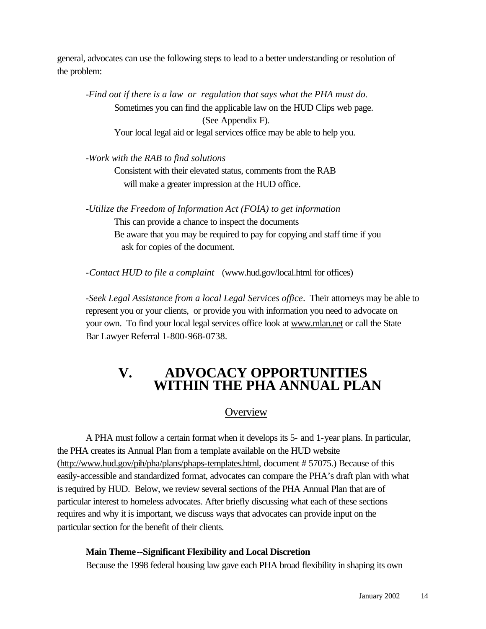general, advocates can use the following steps to lead to a better understanding or resolution of the problem:

*-Find out if there is a law or regulation that says what the PHA must do.*  Sometimes you can find the applicable law on the HUD Clips web page. (See Appendix F). Your local legal aid or legal services office may be able to help you.

*-Work with the RAB to find solutions*

Consistent with their elevated status, comments from the RAB will make a greater impression at the HUD office.

*-Utilize the Freedom of Information Act (FOIA) to get information* This can provide a chance to inspect the documents Be aware that you may be required to pay for copying and staff time if you ask for copies of the document.

-*Contact HUD to file a complaint* (www.hud.gov/local.html for offices)

*-Seek Legal Assistance from a local Legal Services office*. Their attorneys may be able to represent you or your clients, or provide you with information you need to advocate on your own. To find your local legal services office look at www.mlan.net or call the State Bar Lawyer Referral 1-800-968-0738.

# **V. ADVOCACY OPPORTUNITIES WITHIN THE PHA ANNUAL PLAN**

# **Overview**

A PHA must follow a certain format when it develops its 5- and 1-year plans. In particular, the PHA creates its Annual Plan from a template available on the HUD website (http://www.hud.gov/pih/pha/plans/phaps-templates.html, document # 57075.) Because of this easily-accessible and standardized format, advocates can compare the PHA's draft plan with what is required by HUD. Below, we review several sections of the PHA Annual Plan that are of particular interest to homeless advocates. After briefly discussing what each of these sections requires and why it is important, we discuss ways that advocates can provide input on the particular section for the benefit of their clients.

#### **Main Theme--Significant Flexibility and Local Discretion**

Because the 1998 federal housing law gave each PHA broad flexibility in shaping its own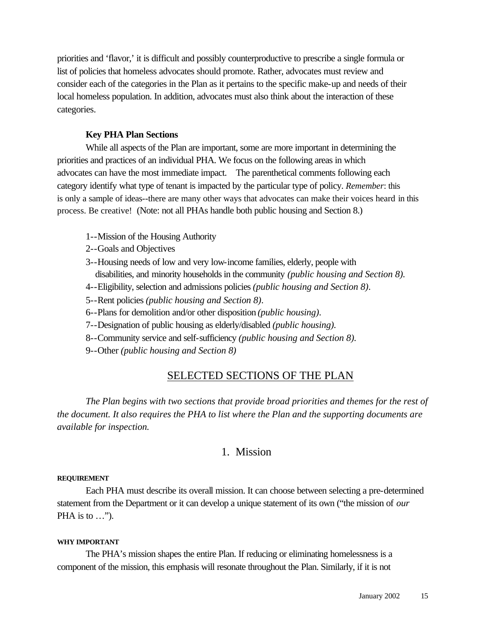priorities and 'flavor,' it is difficult and possibly counterproductive to prescribe a single formula or list of policies that homeless advocates should promote. Rather, advocates must review and consider each of the categories in the Plan as it pertains to the specific make-up and needs of their local homeless population. In addition, advocates must also think about the interaction of these categories.

#### **Key PHA Plan Sections**

While all aspects of the Plan are important, some are more important in determining the priorities and practices of an individual PHA. We focus on the following areas in which advocates can have the most immediate impact. The parenthetical comments following each category identify what type of tenant is impacted by the particular type of policy. *Remember*: this is only a sample of ideas--there are many other ways that advocates can make their voices heard in this process. Be creative! (Note: not all PHAs handle both public housing and Section 8.)

- 1--Mission of the Housing Authority
- 2--Goals and Objectives
- 3--Housing needs of low and very low-income families, elderly, people with disabilities, and minority households in the community *(public housing and Section 8).*
- 4--Eligibility, selection and admissions policies *(public housing and Section 8)*.
- 5--Rent policies *(public housing and Section 8)*.
- 6--Plans for demolition and/or other disposition *(public housing)*.
- 7--Designation of public housing as elderly/disabled *(public housing).*
- 8--Community service and self-sufficiency *(public housing and Section 8).*
- 9--Other *(public housing and Section 8)*

### SELECTED SECTIONS OF THE PLAN

*The Plan begins with two sections that provide broad priorities and themes for the rest of the document. It also requires the PHA to list where the Plan and the supporting documents are available for inspection.*

### 1. Mission

#### **REQUIREMENT**

Each PHA must describe its overall mission. It can choose between selecting a pre-determined statement from the Department or it can develop a unique statement of its own ("the mission of *our* PHA is to  $\ldots$ ").

#### **WHY IMPORTANT**

The PHA's mission shapes the entire Plan. If reducing or eliminating homelessness is a component of the mission, this emphasis will resonate throughout the Plan. Similarly, if it is not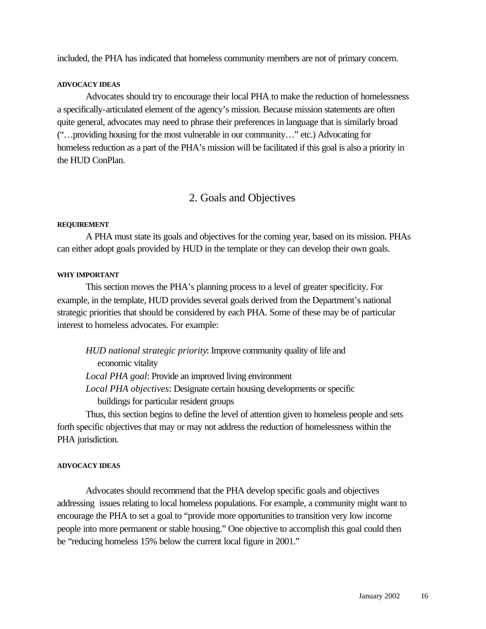included, the PHA has indicated that homeless community members are not of primary concern.

#### **ADVOCACY IDEAS**

Advocates should try to encourage their local PHA to make the reduction of homelessness a specifically-articulated element of the agency's mission. Because mission statements are often quite general, advocates may need to phrase their preferences in language that is similarly broad ("…providing housing for the most vulnerable in our community…" etc.) Advocating for homeless reduction as a part of the PHA's mission will be facilitated if this goal is also a priority in the HUD ConPlan.

# 2. Goals and Objectives

#### **REQUIREMENT**

A PHA must state its goals and objectives for the coming year, based on its mission. PHAs can either adopt goals provided by HUD in the template or they can develop their own goals.

#### **WHY IMPORTANT**

This section moves the PHA's planning process to a level of greater specificity. For example, in the template, HUD provides several goals derived from the Department's national strategic priorities that should be considered by each PHA. Some of these may be of particular interest to homeless advocates. For example:

*HUD national strategic priority*: Improve community quality of life and economic vitality *Local PHA goal*: Provide an improved living environment *Local PHA objectives*: Designate certain housing developments or specific buildings for particular resident groups

Thus, this section begins to define the level of attention given to homeless people and sets forth specific objectives that may or may not address the reduction of homelessness within the PHA jurisdiction.

#### **ADVOCACY IDEAS**

Advocates should recommend that the PHA develop specific goals and objectives addressing issues relating to local homeless populations. For example, a community might want to encourage the PHA to set a goal to "provide more opportunities to transition very low income people into more permanent or stable housing." One objective to accomplish this goal could then be "reducing homeless 15% below the current local figure in 2001."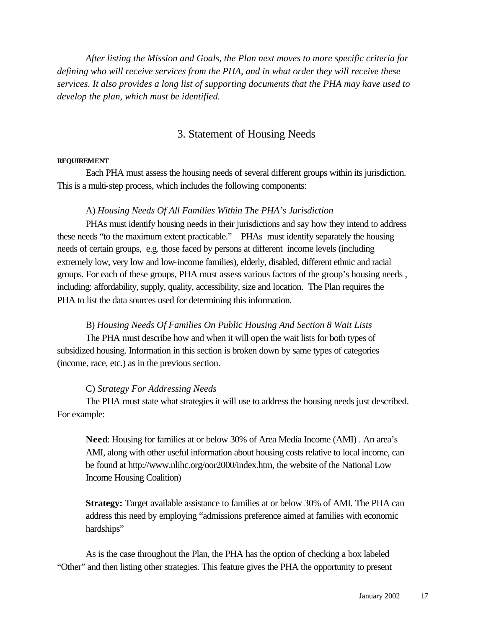*After listing the Mission and Goals, the Plan next moves to more specific criteria for defining who will receive services from the PHA, and in what order they will receive these services. It also provides a long list of supporting documents that the PHA may have used to develop the plan, which must be identified.*

### 3. Statement of Housing Needs

#### **REQUIREMENT**

Each PHA must assess the housing needs of several different groups within its jurisdiction. This is a multi-step process, which includes the following components:

#### A) *Housing Needs Of All Families Within The PHA's Jurisdiction*

PHAs must identify housing needs in their jurisdictions and say how they intend to address these needs "to the maximum extent practicable." PHAs must identify separately the housing needs of certain groups, e.g. those faced by persons at different income levels (including extremely low, very low and low-income families), elderly, disabled, different ethnic and racial groups. For each of these groups, PHA must assess various factors of the group's housing needs , including: affordability, supply, quality, accessibility, size and location. The Plan requires the PHA to list the data sources used for determining this information.

#### B) *Housing Needs Of Families On Public Housing And Section 8 Wait Lists*

The PHA must describe how and when it will open the wait lists for both types of subsidized housing. Information in this section is broken down by same types of categories (income, race, etc.) as in the previous section.

#### C) *Strategy For Addressing Needs*

The PHA must state what strategies it will use to address the housing needs just described. For example:

**Need**: Housing for families at or below 30% of Area Media Income (AMI) . An area's AMI, along with other useful information about housing costs relative to local income, can be found at http://www.nlihc.org/oor2000/index.htm, the website of the National Low Income Housing Coalition)

**Strategy:** Target available assistance to families at or below 30% of AMI*.* The PHA can address this need by employing "admissions preference aimed at families with economic hardships"

As is the case throughout the Plan, the PHA has the option of checking a box labeled "Other" and then listing other strategies. This feature gives the PHA the opportunity to present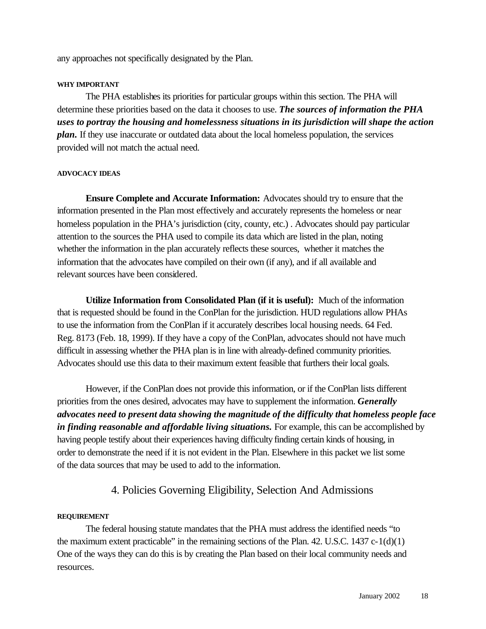any approaches not specifically designated by the Plan.

#### **WHY IMPORTANT**

The PHA establishes its priorities for particular groups within this section. The PHA will determine these priorities based on the data it chooses to use. *The sources of information the PHA uses to portray the housing and homelessness situations in its jurisdiction will shape the action plan.* If they use inaccurate or outdated data about the local homeless population, the services provided will not match the actual need.

#### **ADVOCACY IDEAS**

**Ensure Complete and Accurate Information:** Advocates should try to ensure that the information presented in the Plan most effectively and accurately represents the homeless or near homeless population in the PHA's jurisdiction (city, county, etc.). Advocates should pay particular attention to the sources the PHA used to compile its data which are listed in the plan, noting whether the information in the plan accurately reflects these sources, whether it matches the information that the advocates have compiled on their own (if any), and if all available and relevant sources have been considered.

**Utilize Information from Consolidated Plan (if it is useful):** Much of the information that is requested should be found in the ConPlan for the jurisdiction. HUD regulations allow PHAs to use the information from the ConPlan if it accurately describes local housing needs. 64 Fed. Reg. 8173 (Feb. 18, 1999). If they have a copy of the ConPlan, advocates should not have much difficult in assessing whether the PHA plan is in line with already-defined community priorities. Advocates should use this data to their maximum extent feasible that furthers their local goals.

However, if the ConPlan does not provide this information, or if the ConPlan lists different priorities from the ones desired, advocates may have to supplement the information. *Generally advocates need to present data showing the magnitude of the difficulty that homeless people face*  in *finding reasonable and affordable living situations*. For example, this can be accomplished by having people testify about their experiences having difficulty finding certain kinds of housing, in order to demonstrate the need if it is not evident in the Plan. Elsewhere in this packet we list some of the data sources that may be used to add to the information.

# 4. Policies Governing Eligibility, Selection And Admissions

#### **REQUIREMENT**

The federal housing statute mandates that the PHA must address the identified needs "to the maximum extent practicable" in the remaining sections of the Plan. 42. U.S.C. 1437  $c-1(d)(1)$ One of the ways they can do this is by creating the Plan based on their local community needs and resources.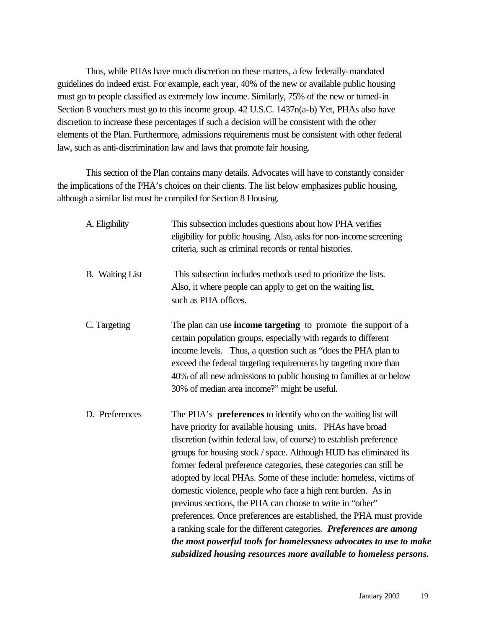Thus, while PHAs have much discretion on these matters, a few federally-mandated guidelines do indeed exist. For example, each year, 40% of the new or available public housing must go to people classified as extremely low income. Similarly, 75% of the new or turned-in Section 8 vouchers must go to this income group. 42 U.S.C. 1437n(a-b) Yet, PHAs also have discretion to increase these percentages if such a decision will be consistent with the other elements of the Plan. Furthermore, admissions requirements must be consistent with other federal law, such as anti-discrimination law and laws that promote fair housing.

This section of the Plan contains many details. Advocates will have to constantly consider the implications of the PHA's choices on their clients. The list below emphasizes public housing, although a similar list must be compiled for Section 8 Housing.

| A. Eligibility         | This subsection includes questions about how PHA verifies<br>eligibility for public housing. Also, asks for non-income screening<br>criteria, such as criminal records or rental histories.                                                                                                                                                                                                                                                                                                                                                                                                                                                                                                                                                                                                                                                     |
|------------------------|-------------------------------------------------------------------------------------------------------------------------------------------------------------------------------------------------------------------------------------------------------------------------------------------------------------------------------------------------------------------------------------------------------------------------------------------------------------------------------------------------------------------------------------------------------------------------------------------------------------------------------------------------------------------------------------------------------------------------------------------------------------------------------------------------------------------------------------------------|
| <b>B.</b> Waiting List | This subsection includes methods used to prioritize the lists.<br>Also, it where people can apply to get on the waiting list,<br>such as PHA offices.                                                                                                                                                                                                                                                                                                                                                                                                                                                                                                                                                                                                                                                                                           |
| C. Targeting           | The plan can use <b>income targeting</b> to promote the support of a<br>certain population groups, especially with regards to different<br>income levels. Thus, a question such as "does the PHA plan to<br>exceed the federal targeting requirements by targeting more than<br>40% of all new admissions to public housing to families at or below<br>30% of median area income?" might be useful.                                                                                                                                                                                                                                                                                                                                                                                                                                             |
| D. Preferences         | The PHA's <b>preferences</b> to identify who on the waiting list will<br>have priority for available housing units. PHAs have broad<br>discretion (within federal law, of course) to establish preference<br>groups for housing stock / space. Although HUD has eliminated its<br>former federal preference categories, these categories can still be<br>adopted by local PHAs. Some of these include: homeless, victims of<br>domestic violence, people who face a high rent burden. As in<br>previous sections, the PHA can choose to write in "other"<br>preferences. Once preferences are established, the PHA must provide<br>a ranking scale for the different categories. Preferences are among<br>the most powerful tools for homelessness advocates to use to make<br>subsidized housing resources more available to homeless persons. |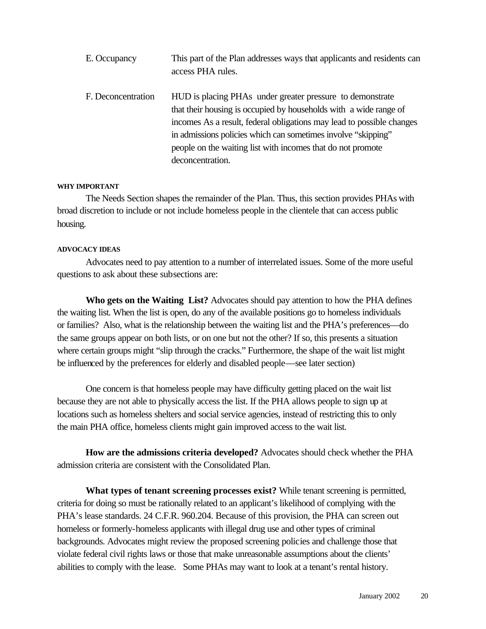| E. Occupancy       | This part of the Plan addresses ways that applicants and residents can<br>access PHA rules.                                                                                                                                                                                                                                                                 |
|--------------------|-------------------------------------------------------------------------------------------------------------------------------------------------------------------------------------------------------------------------------------------------------------------------------------------------------------------------------------------------------------|
| F. Deconcentration | HUD is placing PHAs under greater pressure to demonstrate<br>that their housing is occupied by households with a wide range of<br>incomes As a result, federal obligations may lead to possible changes<br>in admissions policies which can sometimes involve "skipping"<br>people on the waiting list with incomes that do not promote<br>deconcentration. |

#### **WHY IMPORTANT**

The Needs Section shapes the remainder of the Plan. Thus, this section provides PHAs with broad discretion to include or not include homeless people in the clientele that can access public housing.

#### **ADVOCACY IDEAS**

Advocates need to pay attention to a number of interrelated issues. Some of the more useful questions to ask about these subsections are:

**Who gets on the Waiting List?** Advocates should pay attention to how the PHA defines the waiting list. When the list is open, do any of the available positions go to homeless individuals or families? Also, what is the relationship between the waiting list and the PHA's preferences—do the same groups appear on both lists, or on one but not the other? If so, this presents a situation where certain groups might "slip through the cracks." Furthermore, the shape of the wait list might be influenced by the preferences for elderly and disabled people—see later section)

One concern is that homeless people may have difficulty getting placed on the wait list because they are not able to physically access the list. If the PHA allows people to sign up at locations such as homeless shelters and social service agencies, instead of restricting this to only the main PHA office, homeless clients might gain improved access to the wait list.

**How are the admissions criteria developed?** Advocates should check whether the PHA admission criteria are consistent with the Consolidated Plan.

**What types of tenant screening processes exist?** While tenant screening is permitted, criteria for doing so must be rationally related to an applicant's likelihood of complying with the PHA's lease standards. 24 C.F.R. 960.204. Because of this provision, the PHA can screen out homeless or formerly-homeless applicants with illegal drug use and other types of criminal backgrounds. Advocates might review the proposed screening policies and challenge those that violate federal civil rights laws or those that make unreasonable assumptions about the clients' abilities to comply with the lease. Some PHAs may want to look at a tenant's rental history.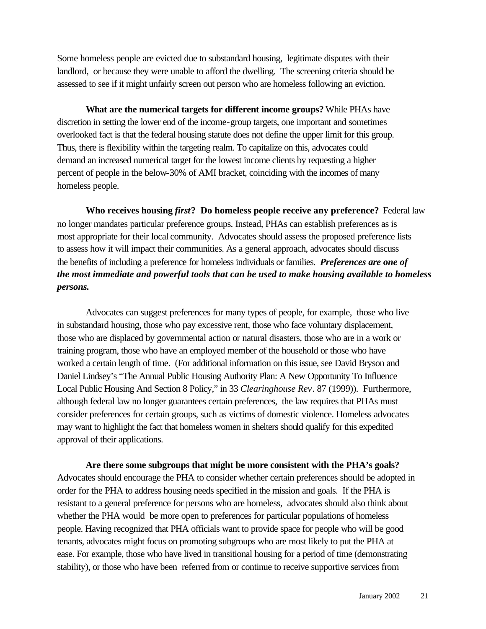Some homeless people are evicted due to substandard housing, legitimate disputes with their landlord, or because they were unable to afford the dwelling. The screening criteria should be assessed to see if it might unfairly screen out person who are homeless following an eviction.

**What are the numerical targets for different income groups?** While PHAs have discretion in setting the lower end of the income-group targets, one important and sometimes overlooked fact is that the federal housing statute does not define the upper limit for this group. Thus, there is flexibility within the targeting realm. To capitalize on this, advocates could demand an increased numerical target for the lowest income clients by requesting a higher percent of people in the below-30% of AMI bracket, coinciding with the incomes of many homeless people.

**Who receives housing** *first***? Do homeless people receive any preference?** Federal law no longer mandates particular preference groups. Instead, PHAs can establish preferences as is most appropriate for their local community. Advocates should assess the proposed preference lists to assess how it will impact their communities. As a general approach, advocates should discuss the benefits of including a preference for homeless individuals or families. *Preferences are one of the most immediate and powerful tools that can be used to make housing available to homeless persons.* 

Advocates can suggest preferences for many types of people, for example, those who live in substandard housing, those who pay excessive rent, those who face voluntary displacement, those who are displaced by governmental action or natural disasters, those who are in a work or training program, those who have an employed member of the household or those who have worked a certain length of time. (For additional information on this issue, see David Bryson and Daniel Lindsey's "The Annual Public Housing Authority Plan: A New Opportunity To Influence Local Public Housing And Section 8 Policy," in 33 *Clearinghouse Rev*. 87 (1999)). Furthermore, although federal law no longer guarantees certain preferences, the law requires that PHAs must consider preferences for certain groups, such as victims of domestic violence. Homeless advocates may want to highlight the fact that homeless women in shelters should qualify for this expedited approval of their applications.

**Are there some subgroups that might be more consistent with the PHA's goals?** Advocates should encourage the PHA to consider whether certain preferences should be adopted in order for the PHA to address housing needs specified in the mission and goals. If the PHA is resistant to a general preference for persons who are homeless, advocates should also think about whether the PHA would be more open to preferences for particular populations of homeless people. Having recognized that PHA officials want to provide space for people who will be good tenants, advocates might focus on promoting subgroups who are most likely to put the PHA at ease. For example, those who have lived in transitional housing for a period of time (demonstrating stability), or those who have been referred from or continue to receive supportive services from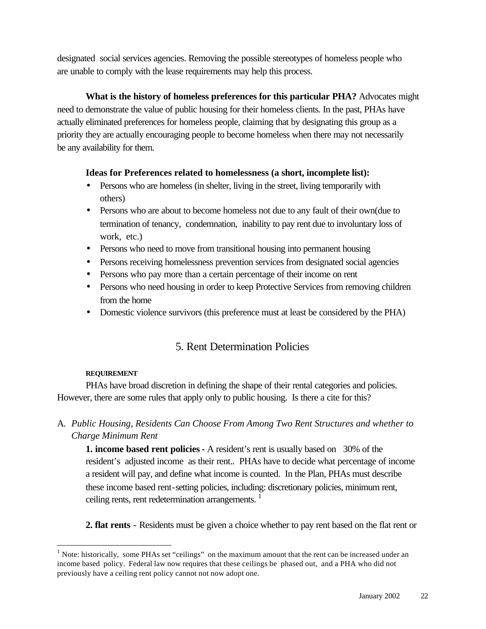designated social services agencies. Removing the possible stereotypes of homeless people who are unable to comply with the lease requirements may help this process.

### **What is the history of homeless preferences for this particular PHA?** Advocates might

need to demonstrate the value of public housing for their homeless clients. In the past, PHAs have actually eliminated preferences for homeless people, claiming that by designating this group as a priority they are actually encouraging people to become homeless when there may not necessarily be any availability for them.

### **Ideas for Preferences related to homelessness (a short, incomplete list):**

- Persons who are homeless (in shelter, living in the street, living temporarily with others)
- Persons who are about to become homeless not due to any fault of their own(due to termination of tenancy, condemnation, inability to pay rent due to involuntary loss of work, etc.)
- Persons who need to move from transitional housing into permanent housing
- Persons receiving homelessness prevention services from designated social agencies
- Persons who pay more than a certain percentage of their income on rent
- Persons who need housing in order to keep Protective Services from removing children from the home
- Domestic violence survivors (this preference must at least be considered by the PHA)

# 5. Rent Determination Policies

### **REQUIREMENT**

l

PHAs have broad discretion in defining the shape of their rental categories and policies. However, there are some rules that apply only to public housing. Is there a cite for this?

# A. *Public Housing, Residents Can Choose From Among Two Rent Structures and whether to Charge Minimum Rent*

**1. income based rent policies -** A resident's rent is usually based on 30% of the resident's adjusted income as their rent.. PHAs have to decide what percentage of income a resident will pay, and define what income is counted. In the Plan, PHAs must describe these income based rent-setting policies, including: discretionary policies, minimum rent, ceiling rents, rent redetermination arrangements.<sup>1</sup>

**2. flat rents** - Residents must be given a choice whether to pay rent based on the flat rent or

<sup>&</sup>lt;sup>1</sup> Note: historically, some PHAs set "ceilings" on the maximum amount that the rent can be increased under an income based policy. Federal law now requires that these ceilings be phased out, and a PHA who did not previously have a ceiling rent policy cannot not now adopt one.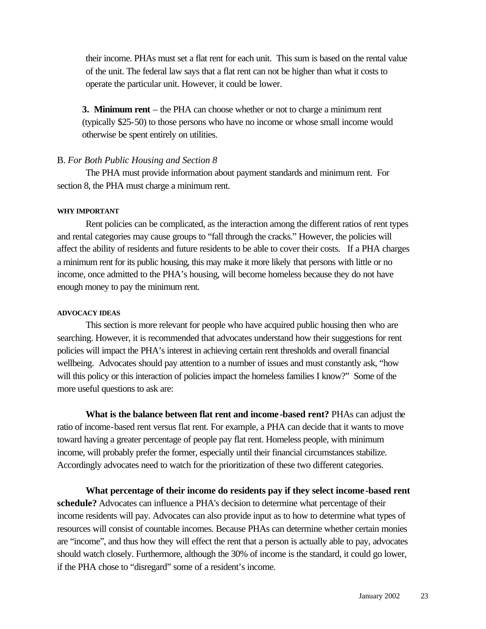their income. PHAs must set a flat rent for each unit. This sum is based on the rental value of the unit. The federal law says that a flat rent can not be higher than what it costs to operate the particular unit. However, it could be lower.

**3. Minimum rent** – the PHA can choose whether or not to charge a minimum rent (typically \$25-50) to those persons who have no income or whose small income would otherwise be spent entirely on utilities.

#### B. *For Both Public Housing and Section 8*

The PHA must provide information about payment standards and minimum rent. For section 8, the PHA must charge a minimum rent.

#### **WHY IMPORTANT**

Rent policies can be complicated, as the interaction among the different ratios of rent types and rental categories may cause groups to "fall through the cracks." However, the policies will affect the ability of residents and future residents to be able to cover their costs. If a PHA charges a minimum rent for its public housing, this may make it more likely that persons with little or no income, once admitted to the PHA's housing, will become homeless because they do not have enough money to pay the minimum rent.

#### **ADVOCACY IDEAS**

This section is more relevant for people who have acquired public housing then who are searching. However, it is recommended that advocates understand how their suggestions for rent policies will impact the PHA's interest in achieving certain rent thresholds and overall financial wellbeing. Advocates should pay attention to a number of issues and must constantly ask, "how will this policy or this interaction of policies impact the homeless families I know?" Some of the more useful questions to ask are:

**What is the balance between flat rent and income-based rent?** PHAs can adjust the ratio of income-based rent versus flat rent. For example, a PHA can decide that it wants to move toward having a greater percentage of people pay flat rent. Homeless people, with minimum income, will probably prefer the former, especially until their financial circumstances stabilize. Accordingly advocates need to watch for the prioritization of these two different categories.

**What percentage of their income do residents pay if they select income -based rent schedule?** Advocates can influence a PHA's decision to determine what percentage of their income residents will pay. Advocates can also provide input as to how to determine what types of resources will consist of countable incomes. Because PHAs can determine whether certain monies are "income", and thus how they will effect the rent that a person is actually able to pay, advocates should watch closely. Furthermore, although the 30% of income is the standard, it could go lower, if the PHA chose to "disregard" some of a resident's income.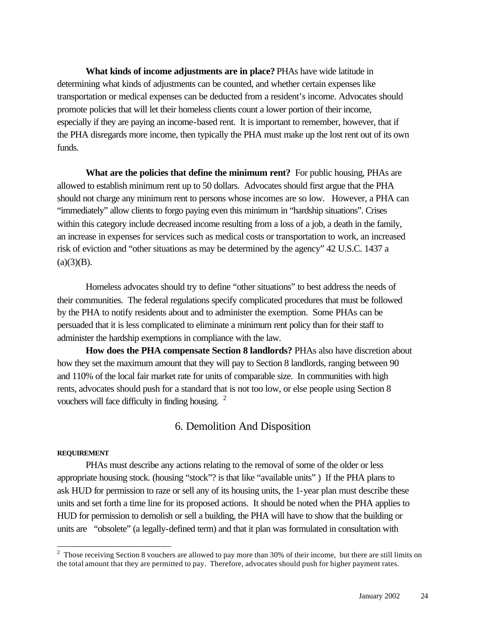**What kinds of income adjustments are in place?** PHAs have wide latitude in determining what kinds of adjustments can be counted, and whether certain expenses like transportation or medical expenses can be deducted from a resident's income. Advocates should promote policies that will let their homeless clients count a lower portion of their income, especially if they are paying an income-based rent. It is important to remember, however, that if the PHA disregards more income, then typically the PHA must make up the lost rent out of its own funds.

**What are the policies that define the minimum rent?** For public housing, PHAs are allowed to establish minimum rent up to 50 dollars. Advocates should first argue that the PHA should not charge any minimum rent to persons whose incomes are so low. However, a PHA can "immediately" allow clients to forgo paying even this minimum in "hardship situations". Crises within this category include decreased income resulting from a loss of a job, a death in the family, an increase in expenses for services such as medical costs or transportation to work, an increased risk of eviction and "other situations as may be determined by the agency" 42 U.S.C. 1437 a  $(a)(3)(B)$ .

Homeless advocates should try to define "other situations" to best address the needs of their communities. The federal regulations specify complicated procedures that must be followed by the PHA to notify residents about and to administer the exemption. Some PHAs can be persuaded that it is less complicated to eliminate a minimum rent policy than for their staff to administer the hardship exemptions in compliance with the law.

**How does the PHA compensate Section 8 landlords?** PHAs also have discretion about how they set the maximum amount that they will pay to Section 8 landlords, ranging between 90 and 110% of the local fair market rate for units of comparable size. In communities with high rents, advocates should push for a standard that is not too low, or else people using Section 8 vouchers will face difficulty in finding housing.  $2\overline{ }$ 

### 6. Demolition And Disposition

#### **REQUIREMENT**

l

PHAs must describe any actions relating to the removal of some of the older or less appropriate housing stock. (housing "stock"? is that like "available units" ) If the PHA plans to ask HUD for permission to raze or sell any of its housing units, the 1-year plan must describe these units and set forth a time line for its proposed actions. It should be noted when the PHA applies to HUD for permission to demolish or sell a building, the PHA will have to show that the building or units are "obsolete" (a legally-defined term) and that it plan was formulated in consultation with

 $2$  Those receiving Section 8 vouchers are allowed to pay more than 30% of their income, but there are still limits on the total amount that they are permitted to pay. Therefore, advocates should push for higher payment rates.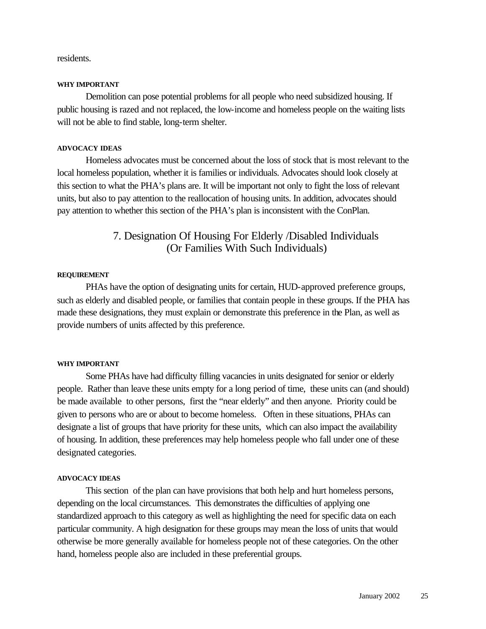residents.

#### **WHY IMPORTANT**

Demolition can pose potential problems for all people who need subsidized housing. If public housing is razed and not replaced, the low-income and homeless people on the waiting lists will not be able to find stable, long-term shelter.

#### **ADVOCACY IDEAS**

Homeless advocates must be concerned about the loss of stock that is most relevant to the local homeless population, whether it is families or individuals. Advocates should look closely at this section to what the PHA's plans are. It will be important not only to fight the loss of relevant units, but also to pay attention to the reallocation of housing units. In addition, advocates should pay attention to whether this section of the PHA's plan is inconsistent with the ConPlan.

# 7. Designation Of Housing For Elderly /Disabled Individuals (Or Families With Such Individuals)

#### **REQUIREMENT**

PHAs have the option of designating units for certain, HUD-approved preference groups, such as elderly and disabled people, or families that contain people in these groups. If the PHA has made these designations, they must explain or demonstrate this preference in the Plan, as well as provide numbers of units affected by this preference.

#### **WHY IMPORTANT**

Some PHAs have had difficulty filling vacancies in units designated for senior or elderly people. Rather than leave these units empty for a long period of time, these units can (and should) be made available to other persons, first the "near elderly" and then anyone. Priority could be given to persons who are or about to become homeless. Often in these situations, PHAs can designate a list of groups that have priority for these units, which can also impact the availability of housing. In addition, these preferences may help homeless people who fall under one of these designated categories.

#### **ADVOCACY IDEAS**

This section of the plan can have provisions that both help and hurt homeless persons, depending on the local circumstances. This demonstrates the difficulties of applying one standardized approach to this category as well as highlighting the need for specific data on each particular community. A high designation for these groups may mean the loss of units that would otherwise be more generally available for homeless people not of these categories. On the other hand, homeless people also are included in these preferential groups.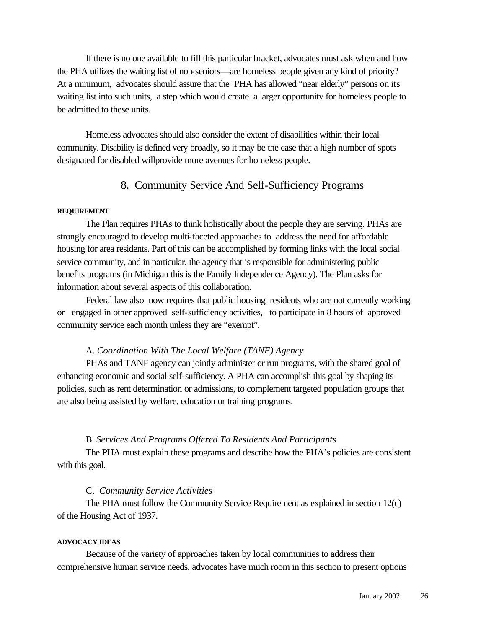If there is no one available to fill this particular bracket, advocates must ask when and how the PHA utilizes the waiting list of non-seniors—are homeless people given any kind of priority? At a minimum, advocates should assure that the PHA has allowed "near elderly" persons on its waiting list into such units, a step which would create a larger opportunity for homeless people to be admitted to these units.

Homeless advocates should also consider the extent of disabilities within their local community. Disability is defined very broadly, so it may be the case that a high number of spots designated for disabled willprovide more avenues for homeless people.

## 8. Community Service And Self-Sufficiency Programs

#### **REQUIREMENT**

The Plan requires PHAs to think holistically about the people they are serving. PHAs are strongly encouraged to develop multi-faceted approaches to address the need for affordable housing for area residents. Part of this can be accomplished by forming links with the local social service community, and in particular, the agency that is responsible for administering public benefits programs (in Michigan this is the Family Independence Agency). The Plan asks for information about several aspects of this collaboration.

Federal law also now requires that public housing residents who are not currently working or engaged in other approved self-sufficiency activities, to participate in 8 hours of approved community service each month unless they are "exempt".

#### A. *Coordination With The Local Welfare (TANF) Agency*

PHAs and TANF agency can jointly administer or run programs, with the shared goal of enhancing economic and social self-sufficiency. A PHA can accomplish this goal by shaping its policies, such as rent determination or admissions, to complement targeted population groups that are also being assisted by welfare, education or training programs.

### B. *Services And Programs Offered To Residents And Participants*

The PHA must explain these programs and describe how the PHA's policies are consistent with this goal.

#### C, *Community Service Activities*

The PHA must follow the Community Service Requirement as explained in section 12(c) of the Housing Act of 1937.

#### **ADVOCACY IDEAS**

Because of the variety of approaches taken by local communities to address their comprehensive human service needs, advocates have much room in this section to present options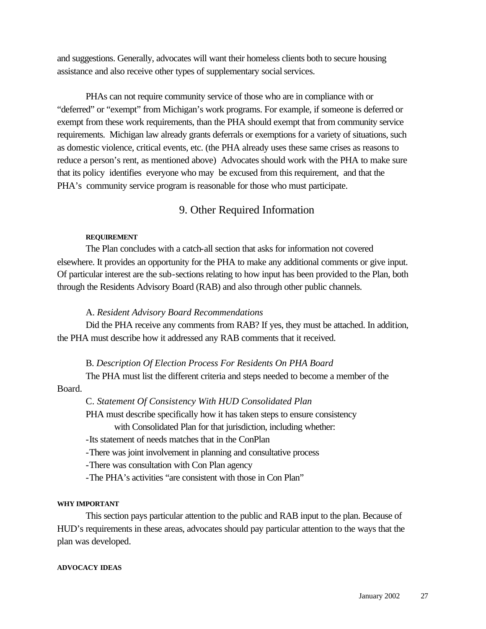and suggestions. Generally, advocates will want their homeless clients both to secure housing assistance and also receive other types of supplementary social services.

PHAs can not require community service of those who are in compliance with or "deferred" or "exempt" from Michigan's work programs. For example, if someone is deferred or exempt from these work requirements, than the PHA should exempt that from community service requirements. Michigan law already grants deferrals or exemptions for a variety of situations, such as domestic violence, critical events, etc. (the PHA already uses these same crises as reasons to reduce a person's rent, as mentioned above) Advocates should work with the PHA to make sure that its policy identifies everyone who may be excused from this requirement, and that the PHA's community service program is reasonable for those who must participate.

## 9. Other Required Information

#### **REQUIREMENT**

The Plan concludes with a catch-all section that asks for information not covered elsewhere. It provides an opportunity for the PHA to make any additional comments or give input. Of particular interest are the sub-sections relating to how input has been provided to the Plan, both through the Residents Advisory Board (RAB) and also through other public channels.

#### A. *Resident Advisory Board Recommendations*

Did the PHA receive any comments from RAB? If yes, they must be attached. In addition, the PHA must describe how it addressed any RAB comments that it received.

#### B. *Description Of Election Process For Residents On PHA Board*

The PHA must list the different criteria and steps needed to become a member of the Board.

#### C. *Statement Of Consistency With HUD Consolidated Plan*

PHA must describe specifically how it has taken steps to ensure consistency

with Consolidated Plan for that jurisdiction, including whether:

-Its statement of needs matches that in the ConPlan

-There was joint involvement in planning and consultative process

-There was consultation with Con Plan agency

-The PHA's activities "are consistent with those in Con Plan"

#### **WHY IMPORTANT**

This section pays particular attention to the public and RAB input to the plan. Because of HUD's requirements in these areas, advocates should pay particular attention to the ways that the plan was developed.

#### **ADVOCACY IDEAS**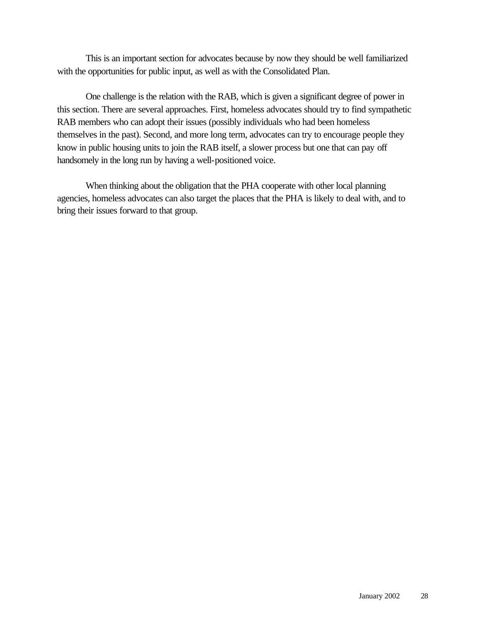This is an important section for advocates because by now they should be well familiarized with the opportunities for public input, as well as with the Consolidated Plan.

One challenge is the relation with the RAB, which is given a significant degree of power in this section. There are several approaches. First, homeless advocates should try to find sympathetic RAB members who can adopt their issues (possibly individuals who had been homeless themselves in the past). Second, and more long term, advocates can try to encourage people they know in public housing units to join the RAB itself, a slower process but one that can pay off handsomely in the long run by having a well-positioned voice.

When thinking about the obligation that the PHA cooperate with other local planning agencies, homeless advocates can also target the places that the PHA is likely to deal with, and to bring their issues forward to that group.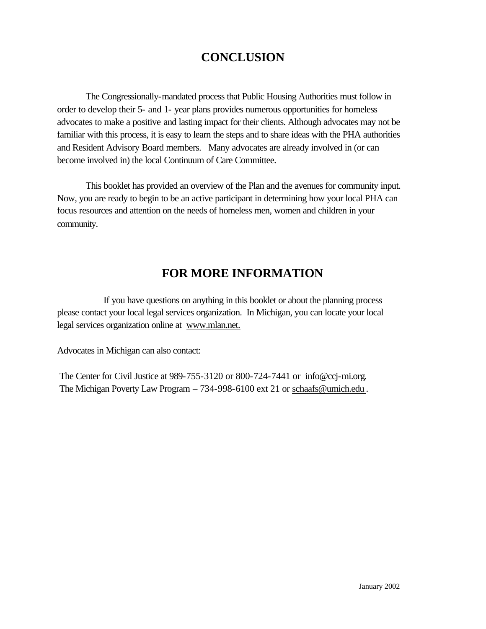# **CONCLUSION**

The Congressionally-mandated process that Public Housing Authorities must follow in order to develop their 5- and 1- year plans provides numerous opportunities for homeless advocates to make a positive and lasting impact for their clients. Although advocates may not be familiar with this process, it is easy to learn the steps and to share ideas with the PHA authorities and Resident Advisory Board members. Many advocates are already involved in (or can become involved in) the local Continuum of Care Committee.

This booklet has provided an overview of the Plan and the avenues for community input. Now, you are ready to begin to be an active participant in determining how your local PHA can focus resources and attention on the needs of homeless men, women and children in your community.

# **FOR MORE INFORMATION**

If you have questions on anything in this booklet or about the planning process please contact your local legal services organization. In Michigan, you can locate your local legal services organization online at www.mlan.net.

Advocates in Michigan can also contact:

 The Center for Civil Justice at 989-755-3120 or 800-724-7441 or info@ccj-mi.org. The Michigan Poverty Law Program – 734-998-6100 ext 21 or schaafs@umich.edu .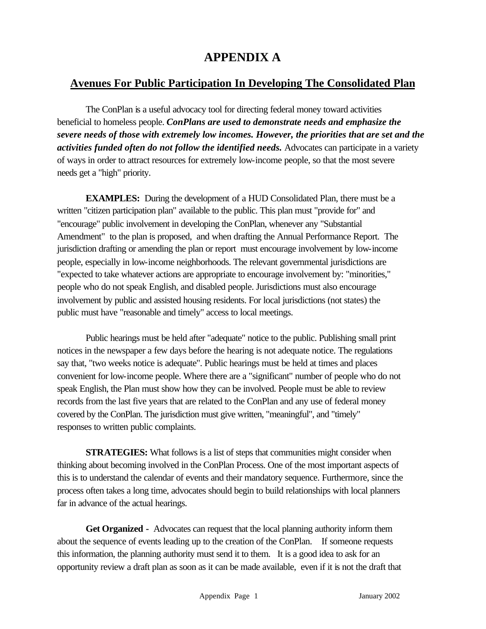# **APPENDIX A**

# **Avenues For Public Participation In Developing The Consolidated Plan**

The ConPlan is a useful advocacy tool for directing federal money toward activities beneficial to homeless people. *ConPlans are used to demonstrate needs and emphasize the severe needs of those with extremely low incomes. However, the priorities that are set and the activities funded often do not follow the identified needs.* Advocates can participate in a variety of ways in order to attract resources for extremely low-income people, so that the most severe needs get a "high" priority.

**EXAMPLES:** During the development of a HUD Consolidated Plan, there must be a written "citizen participation plan" available to the public. This plan must "provide for" and "encourage" public involvement in developing the ConPlan, whenever any "Substantial Amendment" to the plan is proposed, and when drafting the Annual Performance Report. The jurisdiction drafting or amending the plan or report must encourage involvement by low-income people, especially in low-income neighborhoods. The relevant governmental jurisdictions are "expected to take whatever actions are appropriate to encourage involvement by: "minorities," people who do not speak English, and disabled people. Jurisdictions must also encourage involvement by public and assisted housing residents. For local jurisdictions (not states) the public must have "reasonable and timely" access to local meetings.

Public hearings must be held after "adequate" notice to the public. Publishing small print notices in the newspaper a few days before the hearing is not adequate notice. The regulations say that, "two weeks notice is adequate". Public hearings must be held at times and places convenient for low-income people. Where there are a "significant" number of people who do not speak English, the Plan must show how they can be involved. People must be able to review records from the last five years that are related to the ConPlan and any use of federal money covered by the ConPlan. The jurisdiction must give written, "meaningful", and "timely" responses to written public complaints.

**STRATEGIES:** What follows is a list of steps that communities might consider when thinking about becoming involved in the ConPlan Process. One of the most important aspects of this is to understand the calendar of events and their mandatory sequence. Furthermore, since the process often takes a long time, advocates should begin to build relationships with local planners far in advance of the actual hearings.

**Get Organized -** Advocates can request that the local planning authority inform them about the sequence of events leading up to the creation of the ConPlan. If someone requests this information, the planning authority must send it to them. It is a good idea to ask for an opportunity review a draft plan as soon as it can be made available, even if it is not the draft that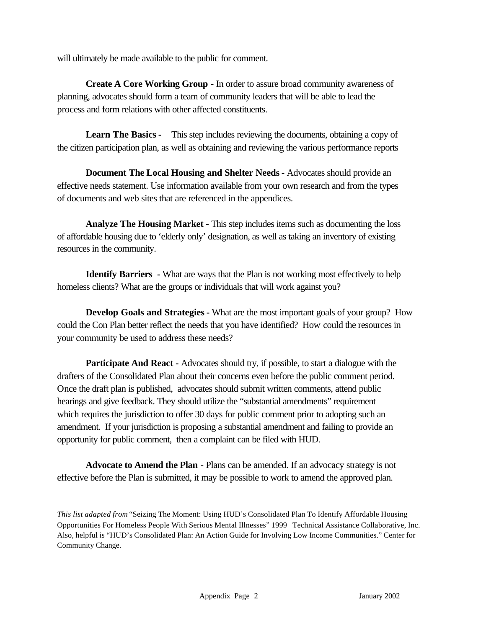will ultimately be made available to the public for comment.

**Create A Core Working Group -** In order to assure broad community awareness of planning, advocates should form a team of community leaders that will be able to lead the process and form relations with other affected constituents.

**Learn The Basics -** This step includes reviewing the documents, obtaining a copy of the citizen participation plan, as well as obtaining and reviewing the various performance reports

**Document The Local Housing and Shelter Needs -** Advocates should provide an effective needs statement. Use information available from your own research and from the types of documents and web sites that are referenced in the appendices.

**Analyze The Housing Market -** This step includes items such as documenting the loss of affordable housing due to 'elderly only' designation, as well as taking an inventory of existing resources in the community.

**Identify Barriers -** What are ways that the Plan is not working most effectively to help homeless clients? What are the groups or individuals that will work against you?

**Develop Goals and Strategies -** What are the most important goals of your group? How could the Con Plan better reflect the needs that you have identified? How could the resources in your community be used to address these needs?

**Participate And React -** Advocates should try, if possible, to start a dialogue with the drafters of the Consolidated Plan about their concerns even before the public comment period. Once the draft plan is published, advocates should submit written comments, attend public hearings and give feedback. They should utilize the "substantial amendments" requirement which requires the jurisdiction to offer 30 days for public comment prior to adopting such an amendment. If your jurisdiction is proposing a substantial amendment and failing to provide an opportunity for public comment, then a complaint can be filed with HUD.

**Advocate to Amend the Plan -** Plans can be amended. If an advocacy strategy is not effective before the Plan is submitted, it may be possible to work to amend the approved plan.

*This list adapted from* "Seizing The Moment: Using HUD's Consolidated Plan To Identify Affordable Housing Opportunities For Homeless People With Serious Mental Illnesses" 1999 Technical Assistance Collaborative, Inc. Also, helpful is "HUD's Consolidated Plan: An Action Guide for Involving Low Income Communities." Center for Community Change.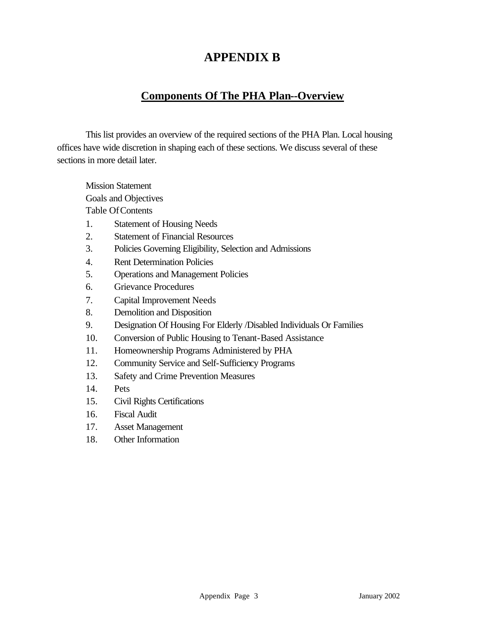# **APPENDIX B**

# **Components Of The PHA Plan--Overview**

This list provides an overview of the required sections of the PHA Plan. Local housing offices have wide discretion in shaping each of these sections. We discuss several of these sections in more detail later.

Mission Statement Goals and Objectives Table Of Contents

- 1. Statement of Housing Needs
- 2. Statement of Financial Resources
- 3. Policies Governing Eligibility, Selection and Admissions
- 4. Rent Determination Policies
- 5. Operations and Management Policies
- 6. Grievance Procedures
- 7. Capital Improvement Needs
- 8. Demolition and Disposition
- 9. Designation Of Housing For Elderly /Disabled Individuals Or Families
- 10. Conversion of Public Housing to Tenant-Based Assistance
- 11. Homeownership Programs Administered by PHA
- 12. Community Service and Self-Sufficiency Programs
- 13. Safety and Crime Prevention Measures
- 14. Pets
- 15. Civil Rights Certifications
- 16. Fiscal Audit
- 17. Asset Management
- 18. Other Information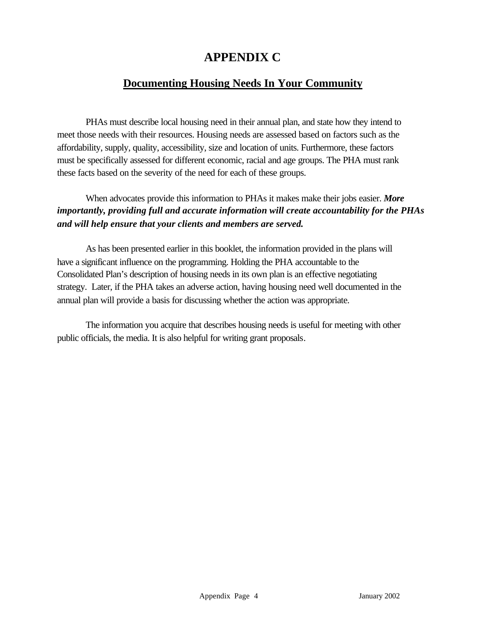# **APPENDIX C**

# **Documenting Housing Needs In Your Community**

PHAs must describe local housing need in their annual plan, and state how they intend to meet those needs with their resources. Housing needs are assessed based on factors such as the affordability, supply, quality, accessibility, size and location of units. Furthermore, these factors must be specifically assessed for different economic, racial and age groups. The PHA must rank these facts based on the severity of the need for each of these groups.

When advocates provide this information to PHAs it makes make their jobs easier. *More importantly, providing full and accurate information will create accountability for the PHAs and will help ensure that your clients and members are served.*

As has been presented earlier in this booklet, the information provided in the plans will have a significant influence on the programming. Holding the PHA accountable to the Consolidated Plan's description of housing needs in its own plan is an effective negotiating strategy. Later, if the PHA takes an adverse action, having housing need well documented in the annual plan will provide a basis for discussing whether the action was appropriate.

The information you acquire that describes housing needs is useful for meeting with other public officials, the media. It is also helpful for writing grant proposals.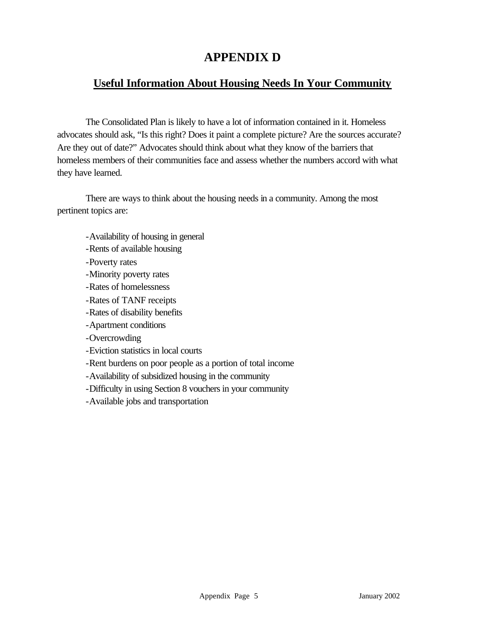# **APPENDIX D**

# **Useful Information About Housing Needs In Your Community**

The Consolidated Plan is likely to have a lot of information contained in it. Homeless advocates should ask, "Is this right? Does it paint a complete picture? Are the sources accurate? Are they out of date?" Advocates should think about what they know of the barriers that homeless members of their communities face and assess whether the numbers accord with what they have learned.

There are ways to think about the housing needs in a community. Among the most pertinent topics are:

- -Availability of housing in general
- -Rents of available housing
- -Poverty rates
- -Minority poverty rates
- -Rates of homelessness
- -Rates of TANF receipts
- -Rates of disability benefits
- -Apartment conditions
- -Overcrowding
- -Eviction statistics in local courts
- -Rent burdens on poor people as a portion of total income
- -Availability of subsidized housing in the community
- -Difficulty in using Section 8 vouchers in your community
- -Available jobs and transportation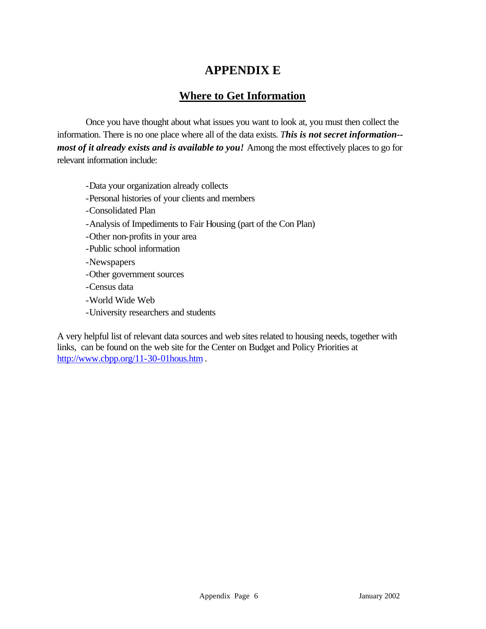# **APPENDIX E**

# **Where to Get Information**

Once you have thought about what issues you want to look at, you must then collect the information. There is no one place where all of the data exists. *This is not secret information- most of it already exists and is available to you!* Among the most effectively places to go for relevant information include:

- -Data your organization already collects
- -Personal histories of your clients and members
- -Consolidated Plan
- -Analysis of Impediments to Fair Housing (part of the Con Plan)
- -Other non-profits in your area
- -Public school information
- -Newspapers
- -Other government sources
- -Census data
- -World Wide Web
- -University researchers and students

A very helpful list of relevant data sources and web sites related to housing needs, together with links, can be found on the web site for the Center on Budget and Policy Priorities at http://www.cbpp.org/11-30-01hous.htm .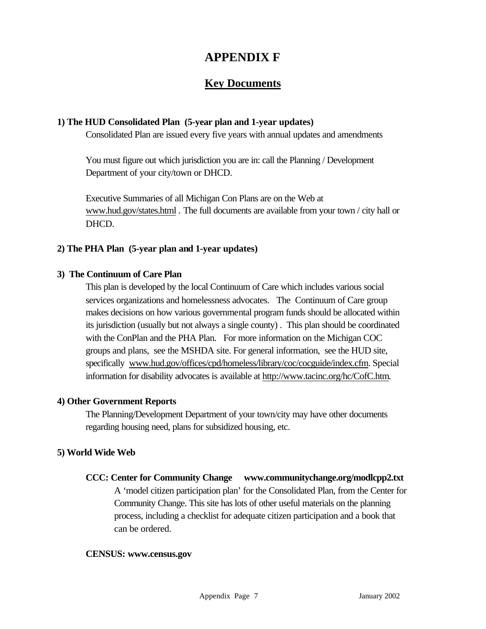# **APPENDIX F**

# **Key Documents**

#### **1) The HUD Consolidated Plan (5-year plan and 1-year updates)**

Consolidated Plan are issued every five years with annual updates and amendments

You must figure out which jurisdiction you are in: call the Planning / Development Department of your city/town or DHCD.

Executive Summaries of all Michigan Con Plans are on the Web at www.hud.gov/states.html *.* The full documents are available from your town / city hall or DHCD.

#### **2) The PHA Plan (5-year plan and 1-year updates)**

#### **3) The Continuum of Care Plan**

This plan is developed by the local Continuum of Care which includes various social services organizations and homelessness advocates. The Continuum of Care group makes decisions on how various governmental program funds should be allocated within its jurisdiction (usually but not always a single county) . This plan should be coordinated with the ConPlan and the PHA Plan. For more information on the Michigan COC groups and plans, see the MSHDA site. For general information, see the HUD site, specifically www.hud.gov/offices/cpd/homeless/library/coc/cocguide/index.cfm. Special information for disability advocates is available at http://www.tacinc.org/hc/CofC.htm.

#### **4) Other Government Reports**

The Planning/Development Department of your town/city may have other documents regarding housing need, plans for subsidized housing, etc.

#### **5) World Wide Web**

**CCC: Center for Community Change www.communitychange.org/modlcpp2.txt** A 'model citizen participation plan' for the Consolidated Plan, from the Center for Community Change. This site has lots of other useful materials on the planning process, including a checklist for adequate citizen participation and a book that can be ordered.

#### **CENSUS: www.census.gov**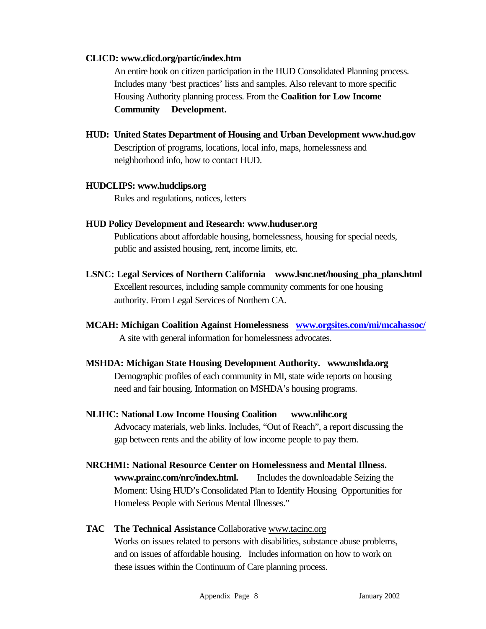#### **CLICD: www.clicd.org/partic/index.htm**

An entire book on citizen participation in the HUD Consolidated Planning process. Includes many 'best practices' lists and samples. Also relevant to more specific Housing Authority planning process. From the **Coalition for Low Income Community Development.**

**HUD: United States Department of Housing and Urban Development www.hud.gov** Description of programs, locations, local info, maps, homelessness and neighborhood info, how to contact HUD.

#### **HUDCLIPS: www.hudclips.org**

Rules and regulations, notices, letters

**HUD Policy Development and Research: www.huduser.org**

Publications about affordable housing, homelessness, housing for special needs, public and assisted housing, rent, income limits, etc.

- **LSNC: Legal Services of Northern California www.lsnc.net/housing\_pha\_plans.html** Excellent resources, including sample community comments for one housing authority. From Legal Services of Northern CA.
- **MCAH: Michigan Coalition Against Homelessness www.orgsites.com/mi/mcahassoc/** A site with general information for homelessness advocates.
- **MSHDA: Michigan State Housing Development Authority. www.mshda.org** Demographic profiles of each community in MI, state wide reports on housing need and fair housing. Information on MSHDA's housing programs.
- **NLIHC: National Low Income Housing Coalition www.nlihc.org** Advocacy materials, web links. Includes, "Out of Reach", a report discussing the gap between rents and the ability of low income people to pay them.
- **NRCHMI: National Resource Center on Homelessness and Mental Illness. www.prainc.com/nrc/index.html.** Includes the downloadable Seizing the Moment: Using HUD's Consolidated Plan to Identify Housing Opportunities for Homeless People with Serious Mental Illnesses."
- **TAC The Technical Assistance** Collaborative www.tacinc.org Works on issues related to persons with disabilities, substance abuse problems, and on issues of affordable housing. Includes information on how to work on these issues within the Continuum of Care planning process.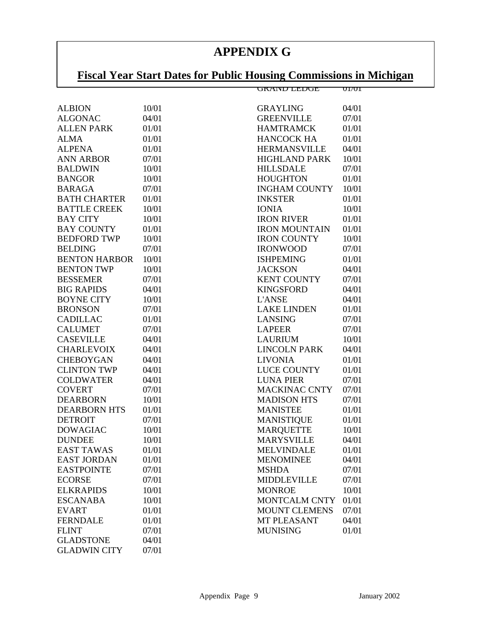# **APPENDIX G**

# <u>Fiscal Year Start Dates for Public Housing Commissions in Michigan</u>

|                      |       | <u>UKAND LEDUE</u>   | UI/UI |
|----------------------|-------|----------------------|-------|
| <b>ALBION</b>        | 10/01 | <b>GRAYLING</b>      | 04/01 |
| <b>ALGONAC</b>       | 04/01 | <b>GREENVILLE</b>    | 07/01 |
| <b>ALLEN PARK</b>    | 01/01 | <b>HAMTRAMCK</b>     | 01/01 |
| <b>ALMA</b>          | 01/01 | <b>HANCOCK HA</b>    | 01/01 |
| <b>ALPENA</b>        | 01/01 | <b>HERMANSVILLE</b>  | 04/01 |
| <b>ANN ARBOR</b>     | 07/01 | <b>HIGHLAND PARK</b> | 10/01 |
| <b>BALDWIN</b>       | 10/01 | <b>HILLSDALE</b>     | 07/01 |
| <b>BANGOR</b>        | 10/01 | <b>HOUGHTON</b>      | 01/01 |
| <b>BARAGA</b>        | 07/01 | <b>INGHAM COUNTY</b> | 10/01 |
| <b>BATH CHARTER</b>  | 01/01 | <b>INKSTER</b>       | 01/01 |
| <b>BATTLE CREEK</b>  | 10/01 | <b>IONIA</b>         | 10/01 |
| <b>BAY CITY</b>      | 10/01 | <b>IRON RIVER</b>    | 01/01 |
| <b>BAY COUNTY</b>    | 01/01 | <b>IRON MOUNTAIN</b> | 01/01 |
| <b>BEDFORD TWP</b>   | 10/01 | <b>IRON COUNTY</b>   | 10/01 |
| <b>BELDING</b>       | 07/01 | <b>IRONWOOD</b>      | 07/01 |
| <b>BENTON HARBOR</b> | 10/01 | <b>ISHPEMING</b>     | 01/01 |
| <b>BENTON TWP</b>    | 10/01 | <b>JACKSON</b>       | 04/01 |
| <b>BESSEMER</b>      | 07/01 | <b>KENT COUNTY</b>   | 07/01 |
| <b>BIG RAPIDS</b>    | 04/01 | <b>KINGSFORD</b>     | 04/01 |
| <b>BOYNE CITY</b>    | 10/01 | <b>L'ANSE</b>        | 04/01 |
| <b>BRONSON</b>       | 07/01 | <b>LAKE LINDEN</b>   | 01/01 |
| <b>CADILLAC</b>      | 01/01 | <b>LANSING</b>       | 07/01 |
| <b>CALUMET</b>       | 07/01 | <b>LAPEER</b>        | 07/01 |
| <b>CASEVILLE</b>     | 04/01 | <b>LAURIUM</b>       | 10/01 |
| <b>CHARLEVOIX</b>    | 04/01 | <b>LINCOLN PARK</b>  | 04/01 |
| <b>CHEBOYGAN</b>     | 04/01 | <b>LIVONIA</b>       | 01/01 |
| <b>CLINTON TWP</b>   | 04/01 | <b>LUCE COUNTY</b>   | 01/01 |
| <b>COLDWATER</b>     | 04/01 | <b>LUNA PIER</b>     | 07/01 |
| <b>COVERT</b>        | 07/01 | <b>MACKINAC CNTY</b> | 07/01 |
| <b>DEARBORN</b>      | 10/01 | <b>MADISON HTS</b>   | 07/01 |
| <b>DEARBORN HTS</b>  | 01/01 | <b>MANISTEE</b>      | 01/01 |
| <b>DETROIT</b>       | 07/01 | <b>MANISTIQUE</b>    | 01/01 |
| <b>DOWAGIAC</b>      | 10/01 | <b>MARQUETTE</b>     | 10/01 |
| <b>DUNDEE</b>        | 10/01 | <b>MARYSVILLE</b>    | 04/01 |
| <b>EAST TAWAS</b>    | 01/01 | <b>MELVINDALE</b>    | 01/01 |
| <b>EAST JORDAN</b>   | 01/01 | <b>MENOMINEE</b>     | 04/01 |
| <b>EASTPOINTE</b>    | 07/01 | <b>MSHDA</b>         | 07/01 |
| <b>ECORSE</b>        | 07/01 | <b>MIDDLEVILLE</b>   | 07/01 |
| <b>ELKRAPIDS</b>     | 10/01 | <b>MONROE</b>        | 10/01 |
| <b>ESCANABA</b>      | 10/01 | MONTCALM CNTY        | 01/01 |
| <b>EVART</b>         | 01/01 | <b>MOUNT CLEMENS</b> | 07/01 |
| <b>FERNDALE</b>      | 01/01 | <b>MT PLEASANT</b>   | 04/01 |
| <b>FLINT</b>         | 07/01 | <b>MUNISING</b>      | 01/01 |
| <b>GLADSTONE</b>     | 04/01 |                      |       |
| <b>GLADWIN CITY</b>  | 07/01 |                      |       |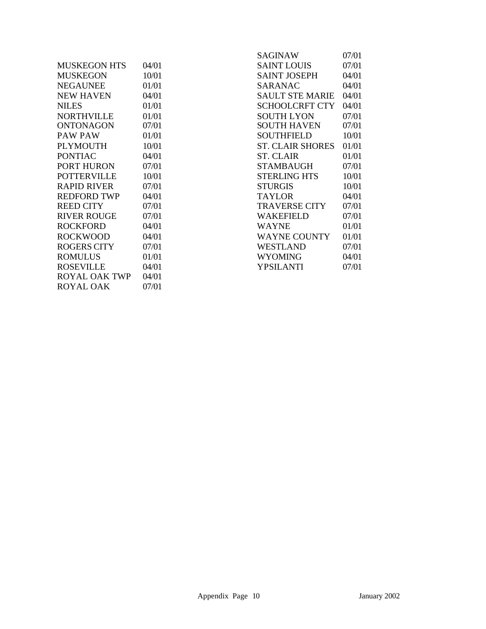|                      |       | <b>SAGINAW</b>          | 07/01 |
|----------------------|-------|-------------------------|-------|
| <b>MUSKEGON HTS</b>  | 04/01 | <b>SAINT LOUIS</b>      | 07/01 |
| <b>MUSKEGON</b>      | 10/01 | <b>SAINT JOSEPH</b>     | 04/01 |
| <b>NEGAUNEE</b>      | 01/01 | <b>SARANAC</b>          | 04/01 |
| <b>NEW HAVEN</b>     | 04/01 | <b>SAULT STE MARIE</b>  | 04/01 |
| <b>NILES</b>         | 01/01 | <b>SCHOOLCRFT CTY</b>   | 04/01 |
| <b>NORTHVILLE</b>    | 01/01 | <b>SOUTH LYON</b>       | 07/01 |
| <b>ONTONAGON</b>     | 07/01 | <b>SOUTH HAVEN</b>      | 07/01 |
| PAW PAW              | 01/01 | <b>SOUTHFIELD</b>       | 10/01 |
| <b>PLYMOUTH</b>      | 10/01 | <b>ST. CLAIR SHORES</b> | 01/01 |
| <b>PONTIAC</b>       | 04/01 | <b>ST. CLAIR</b>        | 01/01 |
| <b>PORT HURON</b>    | 07/01 | STAMBAUGH               | 07/01 |
| <b>POTTERVILLE</b>   | 10/01 | <b>STERLING HTS</b>     | 10/01 |
| <b>RAPID RIVER</b>   | 07/01 | <b>STURGIS</b>          | 10/01 |
| <b>REDFORD TWP</b>   | 04/01 | <b>TAYLOR</b>           | 04/01 |
| <b>REED CITY</b>     | 07/01 | TRAVERSE CITY           | 07/01 |
| <b>RIVER ROUGE</b>   | 07/01 | <b>WAKEFIELD</b>        | 07/01 |
| <b>ROCKFORD</b>      | 04/01 | <b>WAYNE</b>            | 01/01 |
| <b>ROCKWOOD</b>      | 04/01 | <b>WAYNE COUNTY</b>     | 01/01 |
| <b>ROGERS CITY</b>   | 07/01 | <b>WESTLAND</b>         | 07/01 |
| <b>ROMULUS</b>       | 01/01 | <b>WYOMING</b>          | 04/01 |
| <b>ROSEVILLE</b>     | 04/01 | <b>YPSILANTI</b>        | 07/01 |
| <b>ROYAL OAK TWP</b> | 04/01 |                         |       |

ROYAL OAK 07/01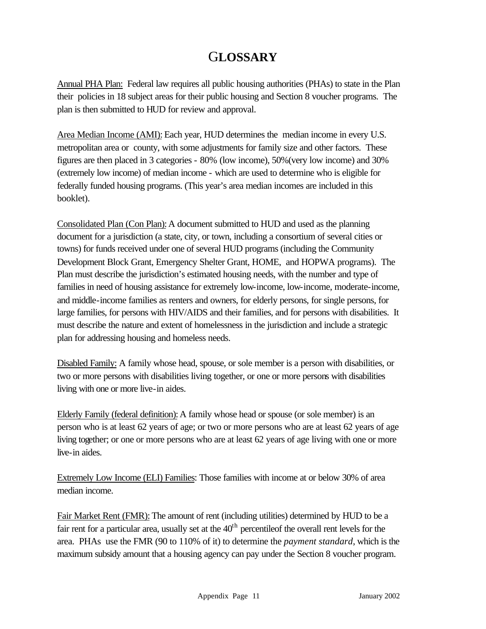# G**LOSSARY**

Annual PHA Plan: Federal law requires all public housing authorities (PHAs) to state in the Plan their policies in 18 subject areas for their public housing and Section 8 voucher programs. The plan is then submitted to HUD for review and approval.

Area Median Income (AMI): Each year, HUD determines the median income in every U.S. metropolitan area or county, with some adjustments for family size and other factors. These figures are then placed in 3 categories - 80% (low income), 50%(very low income) and 30% (extremely low income) of median income - which are used to determine who is eligible for federally funded housing programs. (This year's area median incomes are included in this booklet).

Consolidated Plan (Con Plan): A document submitted to HUD and used as the planning document for a jurisdiction (a state, city, or town, including a consortium of several cities or towns) for funds received under one of several HUD programs (including the Community Development Block Grant, Emergency Shelter Grant, HOME, and HOPWA programs). The Plan must describe the jurisdiction's estimated housing needs, with the number and type of families in need of housing assistance for extremely low-income, low-income, moderate-income, and middle-income families as renters and owners, for elderly persons, for single persons, for large families, for persons with HIV/AIDS and their families, and for persons with disabilities. It must describe the nature and extent of homelessness in the jurisdiction and include a strategic plan for addressing housing and homeless needs.

Disabled Family: A family whose head, spouse, or sole member is a person with disabilities, or two or more persons with disabilities living together, or one or more persons with disabilities living with one or more live-in aides.

Elderly Family (federal definition): A family whose head or spouse (or sole member) is an person who is at least 62 years of age; or two or more persons who are at least 62 years of age living together; or one or more persons who are at least 62 years of age living with one or more live-in aides.

Extremely Low Income (ELI) Families: Those families with income at or below 30% of area median income.

Fair Market Rent (FMR): The amount of rent (including utilities) determined by HUD to be a fair rent for a particular area, usually set at the  $40<sup>th</sup>$  percentileof the overall rent levels for the area. PHAs use the FMR (90 to 110% of it) to determine the *payment standard*, which is the maximum subsidy amount that a housing agency can pay under the Section 8 voucher program.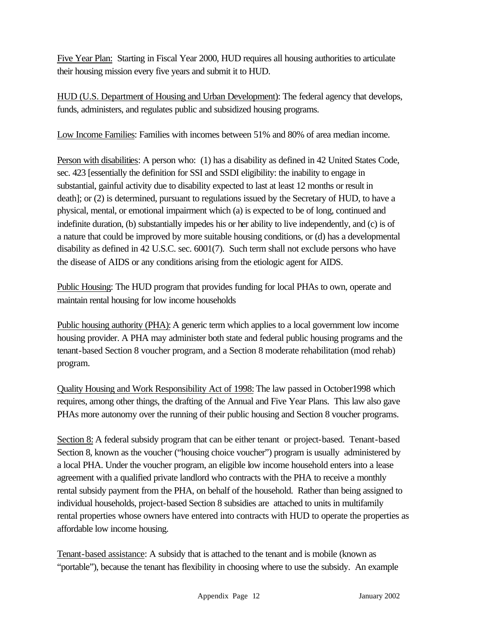Five Year Plan: Starting in Fiscal Year 2000, HUD requires all housing authorities to articulate their housing mission every five years and submit it to HUD.

HUD (U.S. Department of Housing and Urban Development): The federal agency that develops, funds, administers, and regulates public and subsidized housing programs.

Low Income Families: Families with incomes between 51% and 80% of area median income.

Person with disabilities: A person who: (1) has a disability as defined in 42 United States Code, sec. 423 [essentially the definition for SSI and SSDI eligibility: the inability to engage in substantial, gainful activity due to disability expected to last at least 12 months or result in death]; or (2) is determined, pursuant to regulations issued by the Secretary of HUD, to have a physical, mental, or emotional impairment which (a) is expected to be of long, continued and indefinite duration, (b) substantially impedes his or her ability to live independently, and (c) is of a nature that could be improved by more suitable housing conditions, or (d) has a developmental disability as defined in 42 U.S.C. sec. 6001(7). Such term shall not exclude persons who have the disease of AIDS or any conditions arising from the etiologic agent for AIDS.

Public Housing: The HUD program that provides funding for local PHAs to own, operate and maintain rental housing for low income households

Public housing authority (PHA): A generic term which applies to a local government low income housing provider. A PHA may administer both state and federal public housing programs and the tenant-based Section 8 voucher program, and a Section 8 moderate rehabilitation (mod rehab) program.

Quality Housing and Work Responsibility Act of 1998: The law passed in October1998 which requires, among other things, the drafting of the Annual and Five Year Plans. This law also gave PHAs more autonomy over the running of their public housing and Section 8 voucher programs.

Section 8: A federal subsidy program that can be either tenant or project-based. Tenant-based Section 8, known as the voucher ("housing choice voucher") program is usually administered by a local PHA. Under the voucher program, an eligible low income household enters into a lease agreement with a qualified private landlord who contracts with the PHA to receive a monthly rental subsidy payment from the PHA, on behalf of the household. Rather than being assigned to individual households, project-based Section 8 subsidies are attached to units in multifamily rental properties whose owners have entered into contracts with HUD to operate the properties as affordable low income housing.

Tenant-based assistance: A subsidy that is attached to the tenant and is mobile (known as "portable"), because the tenant has flexibility in choosing where to use the subsidy. An example